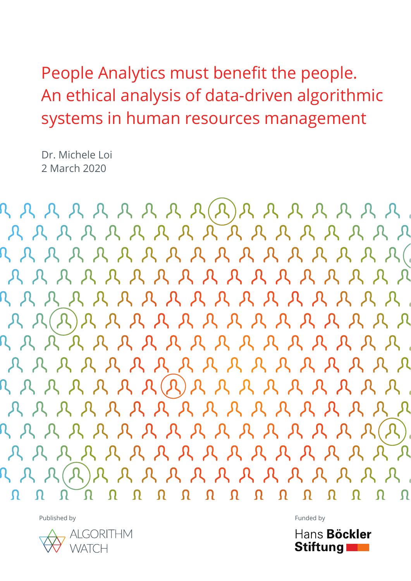Dr. Michele Loi 2 March 2020

AAAAAAAAAAAAAAAA A A A A A A A A A A A A A A A A  $R R (R) R R R R R R R R R R R R R R R R$ A A A A A A A A A A A A A A A A A A A A A A A A A A A A A A A A R R R R R R R R R R R R R R R

Published by Funded by Funded by Funded by Funded by Funded by Funded by Funded by Funded by Funded by Funded by  $F(1)$ 



Hans Böckler Stiftung **Theory**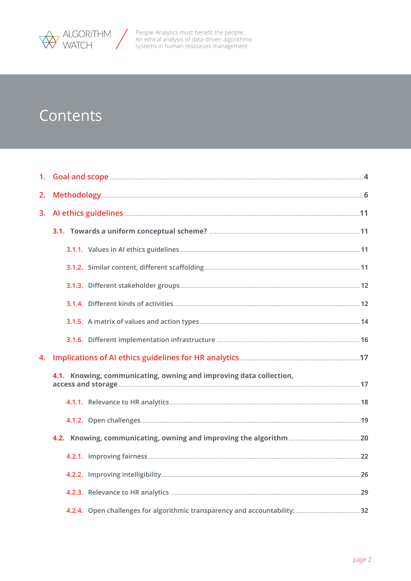

# Contents

| 2. |                                                                    |  |
|----|--------------------------------------------------------------------|--|
| 3. |                                                                    |  |
|    |                                                                    |  |
|    |                                                                    |  |
|    |                                                                    |  |
|    |                                                                    |  |
|    |                                                                    |  |
|    |                                                                    |  |
|    |                                                                    |  |
| 4. |                                                                    |  |
|    | 4.1. Knowing, communicating, owning and improving data collection, |  |
|    |                                                                    |  |
|    |                                                                    |  |
|    |                                                                    |  |
|    |                                                                    |  |
|    |                                                                    |  |
|    |                                                                    |  |
|    |                                                                    |  |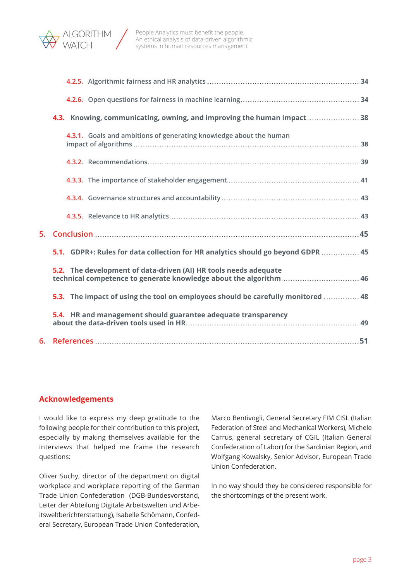

| 4.3. Knowing, communicating, owning, and improving the human impact38            |  |
|----------------------------------------------------------------------------------|--|
| 4.3.1. Goals and ambitions of generating knowledge about the human               |  |
|                                                                                  |  |
|                                                                                  |  |
|                                                                                  |  |
|                                                                                  |  |
|                                                                                  |  |
| 5.1. GDPR+: Rules for data collection for HR analytics should go beyond GDPR  45 |  |
| 5.2. The development of data-driven (AI) HR tools needs adequate                 |  |
| 5.3. The impact of using the tool on employees should be carefully monitored  48 |  |
| 5.4. HR and management should guarantee adequate transparency                    |  |
|                                                                                  |  |

#### **Acknowledgements**

I would like to express my deep gratitude to the following people for their contribution to this project, especially by making themselves available for the interviews that helped me frame the research questions:

Oliver Suchy, director of the department on digital workplace and workplace reporting of the German Trade Union Confederation (DGB-Bundesvorstand, Leiter der Abteilung Digitale Arbeitswelten und Arbeitsweltberichterstattung), Isabelle Schömann, Confederal Secretary, European Trade Union Confederation,

Marco Bentivogli, General Secretary FIM CISL (Italian Federation of Steel and Mechanical Workers), Michele Carrus, general secretary of CGIL (Italian General Confederation of Labor) for the Sardinian Region, and Wolfgang Kowalsky, Senior Advisor, European Trade Union Confederation.

In no way should they be considered responsible for the shortcomings of the present work.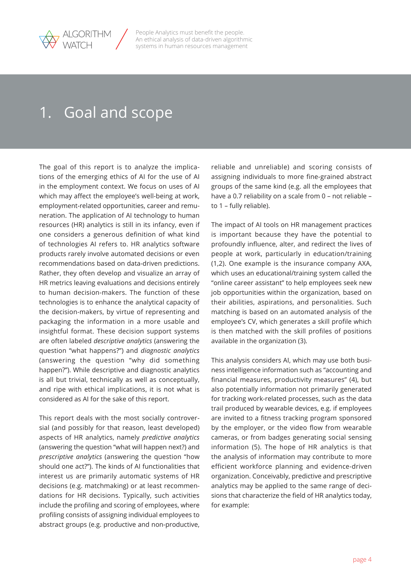<span id="page-3-0"></span>

# 1. Goal and scope

The goal of this report is to analyze the implications of the emerging ethics of AI for the use of AI in the employment context. We focus on uses of AI which may affect the employee's well-being at work, employment-related opportunities, career and remuneration. The application of AI technology to human resources (HR) analytics is still in its infancy, even if one considers a generous definition of what kind of technologies AI refers to. HR analytics software products rarely involve automated decisions or even recommendations based on data-driven predictions. Rather, they often develop and visualize an array of HR metrics leaving evaluations and decisions entirely to human decision-makers. The function of these technologies is to enhance the analytical capacity of the decision-makers, by virtue of representing and packaging the information in a more usable and insightful format. These decision support systems are often labeled *descriptive analytics* (answering the question "what happens?") and *diagnostic analytics* (answering the question "why did something happen?"). While descriptive and diagnostic analytics is all but trivial, technically as well as conceptually, and ripe with ethical implications, it is not what is considered as AI for the sake of this report.

This report deals with the most socially controversial (and possibly for that reason, least developed) aspects of HR analytics, namely *predictive analytics*  (answering the question "what will happen next?) and *prescriptive analytics* (answering the question "how should one act?"). The kinds of AI functionalities that interest us are primarily automatic systems of HR decisions (e.g. matchmaking) or at least recommendations for HR decisions. Typically, such activities include the profiling and scoring of employees, where profiling consists of assigning individual employees to abstract groups (e.g. productive and non-productive,

reliable and unreliable) and scoring consists of assigning individuals to more fine-grained abstract groups of the same kind (e.g. all the employees that have a 0.7 reliability on a scale from 0 – not reliable – to 1 – fully reliable).

The impact of AI tools on HR management practices is important because they have the potential to profoundly influence, alter, and redirect the lives of people at work, particularly in education/training (1,2). One example is the insurance company AXA, which uses an educational/training system called the "online career assistant" to help employees seek new job opportunities within the organization, based on their abilities, aspirations, and personalities. Such matching is based on an automated analysis of the employee's CV, which generates a skill profile which is then matched with the skill profiles of positions available in the organization (3).

This analysis considers AI, which may use both business intelligence information such as "accounting and financial measures, productivity measures" (4), but also potentially information not primarily generated for tracking work-related processes, such as the data trail produced by wearable devices, e.g. if employees are invited to a fitness tracking program sponsored by the employer, or the video flow from wearable cameras, or from badges generating social sensing information (5). The hope of HR analytics is that the analysis of information may contribute to more efficient workforce planning and evidence-driven organization. Conceivably, predictive and prescriptive analytics may be applied to the same range of decisions that characterize the field of HR analytics today, for example: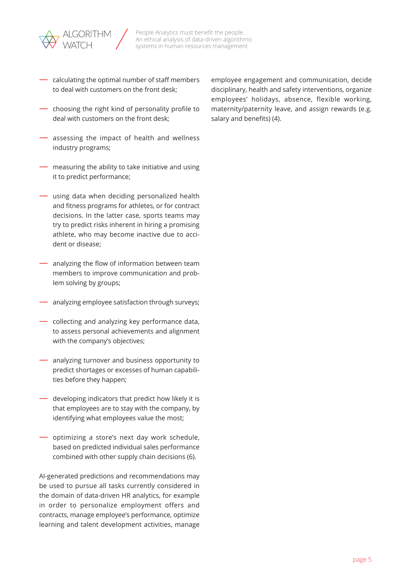

- calculating the optimal number of staff members to deal with customers on the front desk;
- choosing the right kind of personality profile to deal with customers on the front desk;
- assessing the impact of health and wellness industry programs;
- measuring the ability to take initiative and using it to predict performance;
- using data when deciding personalized health and fitness programs for athletes, or for contract decisions. In the latter case, sports teams may try to predict risks inherent in hiring a promising athlete, who may become inactive due to accident or disease;
- analyzing the flow of information between team members to improve communication and problem solving by groups;
- analyzing employee satisfaction through surveys;
- collecting and analyzing key performance data, to assess personal achievements and alignment with the company's objectives;
- analyzing turnover and business opportunity to predict shortages or excesses of human capabilities before they happen;
- developing indicators that predict how likely it is that employees are to stay with the company, by identifying what employees value the most;
- optimizing a store's next day work schedule, based on predicted individual sales performance combined with other supply chain decisions (6).

AI-generated predictions and recommendations may be used to pursue all tasks currently considered in the domain of data-driven HR analytics, for example in order to personalize employment offers and contracts, manage employee's performance, optimize learning and talent development activities, manage

employee engagement and communication, decide disciplinary, health and safety interventions, organize employees' holidays, absence, flexible working, maternity/paternity leave, and assign rewards (e.g. salary and benefits) (4).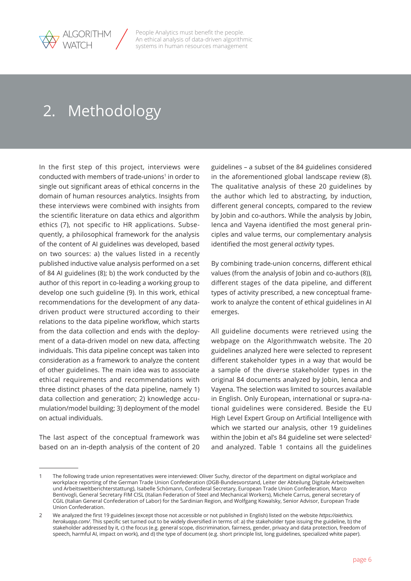<span id="page-5-0"></span>

# 2. Methodology

In the first step of this project, interviews were conducted with members of trade-unions<sup>1</sup> in order to single out significant areas of ethical concerns in the domain of human resources analytics. Insights from these interviews were combined with insights from the scientific literature on data ethics and algorithm ethics (7), not specific to HR applications. Subsequently, a philosophical framework for the analysis of the content of AI guidelines was developed, based on two sources: a) the values listed in a recently published inductive value analysis performed on a set of 84 AI guidelines (8); b) the work conducted by the author of this report in co-leading a working group to develop one such guideline (9). In this work, ethical recommendations for the development of any datadriven product were structured according to their relations to the data pipeline workflow, which starts from the data collection and ends with the deployment of a data-driven model on new data, affecting individuals. This data pipeline concept was taken into consideration as a framework to analyze the content of other guidelines. The main idea was to associate ethical requirements and recommendations with three distinct phases of the data pipeline, namely 1) data collection and generation; 2) knowledge accumulation/model building; 3) deployment of the model on actual individuals.

The last aspect of the conceptual framework was based on an in-depth analysis of the content of 20

guidelines – a subset of the 84 guidelines considered in the aforementioned global landscape review (8). The qualitative analysis of these 20 guidelines by the author which led to abstracting, by induction, different general concepts, compared to the review by Jobin and co-authors. While the analysis by Jobin, Ienca and Vayena identified the most general principles and value terms, our complementary analysis identified the most general *activity* types.

By combining trade-union concerns, different ethical values (from the analysis of Jobin and co-authors (8)), different stages of the data pipeline, and different types of activity prescribed, a new conceptual framework to analyze the content of ethical guidelines in AI emerges.

All guideline documents were retrieved using the webpage on the Algorithmwatch website. The 20 guidelines analyzed here were selected to represent different stakeholder types in a way that would be a sample of the diverse stakeholder types in the original 84 documents analyzed by Jobin, Ienca and Vayena. The selection was limited to sources available in English. Only European, international or supra-national guidelines were considered. Beside the EU High Level Expert Group on Artificial Intelligence with which we started our analysis, other 19 guidelines within the Jobin et al's 84 guideline set were selected<sup>2</sup> and analyzed. Table 1 contains all the guidelines

<sup>1</sup> The following trade union representatives were interviewed: Oliver Suchy, director of the department on digital workplace and workplace reporting of the German Trade Union Confederation (DGB-Bundesvorstand, Leiter der Abteilung Digitale Arbeitswelten und Arbeitsweltberichterstattung), Isabelle Schömann, Confederal Secretary, European Trade Union Confederation, Marco Bentivogli, General Secretary FIM CISL (Italian Federation of Steel and Mechanical Workers), Michele Carrus, general secretary of CGIL (Italian General Confederation of Labor) for the Sardinian Region, and Wolfgang Kowalsky, Senior Advisor, European Trade Union Confederation.

<sup>2</sup> We analyzed the first 19 guidelines (except those not accessible or not published in English) listed on the website *[https://aiethics.](https://aiethics.herokuapp.com/) [herokuapp.com/](https://aiethics.herokuapp.com/)*. This specific set turned out to be widely diversified in terms of: a) the stakeholder type issuing the guideline, b) the stakeholder addressed by it, c) the focus (e.g. general scope, discrimination, fairness, gender, privacy and data protection, freedom of speech, harmful AI, impact on work), and d) the type of document (e.g. short principle list, long guidelines, specialized white paper).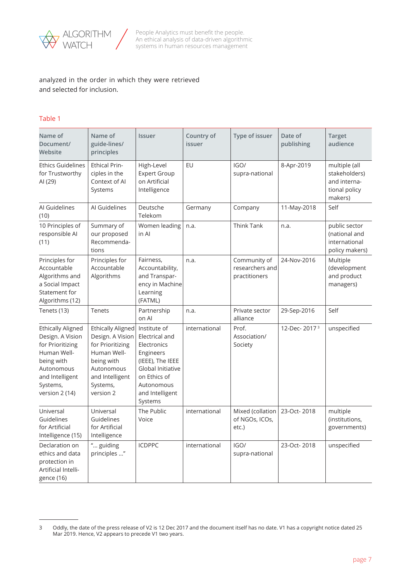

analyzed in the order in which they were retrieved and selected for inclusion.

#### Table 1

| Name of<br>Document/<br>Website                                                                                                                              | Name of<br><b>Issuer</b><br>guide-lines/<br>principles                                                                                           |                                                                                                                                                                 | Country of<br>issuer | Type of issuer                                                  | Date of<br>publishing    | <b>Target</b><br>audience                                                  |
|--------------------------------------------------------------------------------------------------------------------------------------------------------------|--------------------------------------------------------------------------------------------------------------------------------------------------|-----------------------------------------------------------------------------------------------------------------------------------------------------------------|----------------------|-----------------------------------------------------------------|--------------------------|----------------------------------------------------------------------------|
| <b>Ethics Guidelines</b><br><b>Ethical Prin-</b><br>for Trustworthy<br>ciples in the<br>Context of AI<br>AI (29)<br>Systems                                  |                                                                                                                                                  | High-Level<br><b>Expert Group</b><br>on Artificial<br>Intelligence                                                                                              | EU                   | IGO/<br>supra-national                                          | 8-Apr-2019               | multiple (all<br>stakeholders)<br>and interna-<br>tional policy<br>makers) |
| Al Guidelines<br>(10)                                                                                                                                        | Al Guidelines                                                                                                                                    | Deutsche<br>Telekom                                                                                                                                             | Germany              | Company                                                         | 11-May-2018              | Self                                                                       |
| 10 Principles of<br>responsible AI<br>(11)                                                                                                                   | Summary of<br>our proposed<br>Recommenda-<br>tions                                                                                               | Women leading<br>in Al                                                                                                                                          | n.a.                 | Think Tank                                                      | n.a.                     | public sector<br>(national and<br>international<br>policy makers)          |
| Principles for<br>Accountable<br>Algorithms and<br>a Social Impact<br>Statement for<br>Algorithms (12)                                                       | Principles for<br>Fairness,<br>n.a.<br>Accountable<br>Accountability,<br>Algorithms<br>and Transpar-<br>ency in Machine<br>Learning<br>(FATML)   |                                                                                                                                                                 |                      | Community of<br>24-Nov-2016<br>researchers and<br>practitioners |                          | Multiple<br>(development<br>and product<br>managers)                       |
| Tenets (13)                                                                                                                                                  | Tenets                                                                                                                                           | Partnership<br>on Al                                                                                                                                            | n.a.                 | Private sector<br>alliance                                      | 29-Sep-2016              | Self                                                                       |
| <b>Ethically Aligned</b><br>Design. A Vision<br>for Prioritizing<br>Human Well-<br>being with<br>Autonomous<br>and Intelligent<br>Systems,<br>version 2 (14) | Ethically Aligned<br>Design. A Vision<br>for Prioritizing<br>Human Well-<br>being with<br>Autonomous<br>and Intelligent<br>Systems,<br>version 2 | Institute of<br>Electrical and<br>Electronics<br>Engineers<br>(IEEE), The IEEE<br>Global Initiative<br>on Ethics of<br>Autonomous<br>and Intelligent<br>Systems | international        | Prof.<br>Association/<br>Society                                | 12-Dec-2017 <sup>3</sup> | unspecified                                                                |
| Universal<br>Guidelines<br>for Artificial<br>Intelligence (15)                                                                                               | Universal<br>Guidelines<br>for Artificial<br>Intelligence                                                                                        | The Public<br>Voice                                                                                                                                             | international        | Mixed (collation<br>of NGOs, ICOs,<br>etc.)                     | 23-Oct-2018              | multiple<br>(institutions,<br>governments)                                 |
| Declaration on<br>ethics and data<br>protection in<br>Artificial Intelli-<br>gence (16)                                                                      | " guiding<br>principles "                                                                                                                        | <b>ICDPPC</b>                                                                                                                                                   | international        | IGO/<br>supra-national                                          | 23-Oct-2018              | unspecified                                                                |

<sup>3</sup> Oddly, the date of the press release of V2 is 12 Dec 2017 and the document itself has no date. V1 has a copyright notice dated 25 Mar 2019. Hence, V2 appears to precede V1 two years.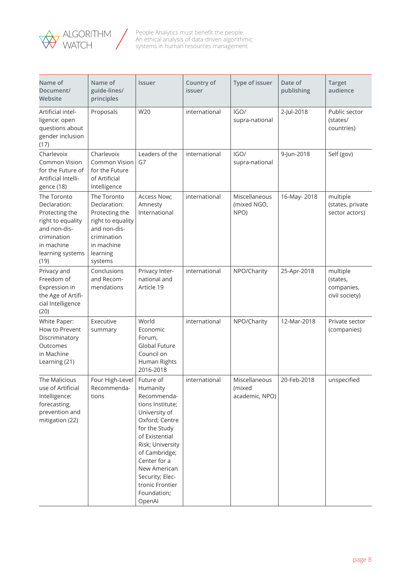

| Name of<br>Document/<br>Website                                                                                                             | Name of<br>guide-lines/<br>principles                                                                                                  | <b>Issuer</b>                                                                                                                                                                                                                                                      | Country of<br>issuer | Type of issuer                            | Date of<br>publishing | <b>Target</b><br>audience                            |
|---------------------------------------------------------------------------------------------------------------------------------------------|----------------------------------------------------------------------------------------------------------------------------------------|--------------------------------------------------------------------------------------------------------------------------------------------------------------------------------------------------------------------------------------------------------------------|----------------------|-------------------------------------------|-----------------------|------------------------------------------------------|
| Artificial intel-<br>ligence: open<br>questions about<br>gender inclusion<br>(17)                                                           | Proposals                                                                                                                              | W20                                                                                                                                                                                                                                                                | international        | IGO/<br>supra-national                    | 2-Jul-2018            | Public sector<br>(states/<br>countries)              |
| Charlevoix<br><b>Common Vision</b><br>for the Future of<br>Artificial Intelli-<br>gence (18)                                                | Charlevoix<br>Common Vision<br>for the Future<br>of Artificial<br>Intelligence                                                         | Leaders of the<br>G7                                                                                                                                                                                                                                               | international        | IGO/<br>supra-national                    | 9-Jun-2018            | Self (gov)                                           |
| The Toronto<br>Declaration:<br>Protecting the<br>right to equality<br>and non-dis-<br>crimination<br>in machine<br>learning systems<br>(19) | The Toronto<br>Declaration:<br>Protecting the<br>right to equality<br>and non-dis-<br>crimination<br>in machine<br>learning<br>systems | Access Now;<br>Amnesty<br>International                                                                                                                                                                                                                            | international        | Miscellaneous<br>(mixed NGO,<br>NPO)      | 16-May-2018           | multiple<br>(states, private<br>sector actors)       |
| Privacy and<br>Freedom of<br>Expression in<br>the Age of Artifi-<br>cial Intelligence<br>(20)                                               | Conclusions<br>and Recom-<br>mendations                                                                                                | Privacy Inter-<br>national and<br>Article 19                                                                                                                                                                                                                       | international        | NPO/Charity                               | 25-Apr-2018           | multiple<br>(states,<br>companies,<br>civil society) |
| White Paper:<br>How to Prevent<br>Discriminatory<br>Outcomes<br>in Machine<br>Learning (21)                                                 | Executive<br>summary                                                                                                                   | World<br>Economic<br>Forum,<br><b>Global Future</b><br>Council on<br>Human Rights<br>2016-2018                                                                                                                                                                     | international        | NPO/Charity                               | 12-Mar-2018           | Private sector<br>(companies)                        |
| The Malicious<br>use of Artificial<br>Intelligence:<br>forecasting,<br>prevention and<br>mitigation (22)                                    | Four High-Level<br>Recommenda-<br>tions                                                                                                | Future of<br>Humanity<br>Recommenda-<br>tions Institute;<br>University of<br>Oxford; Centre<br>for the Study<br>of Existential<br>Risk; University<br>of Cambridge;<br>Center for a<br>New American<br>Security; Elec-<br>tronic Frontier<br>Foundation;<br>OpenAl | international        | Miscellaneous<br>(mixed<br>academic, NPO) | 20-Feb-2018           | unspecified                                          |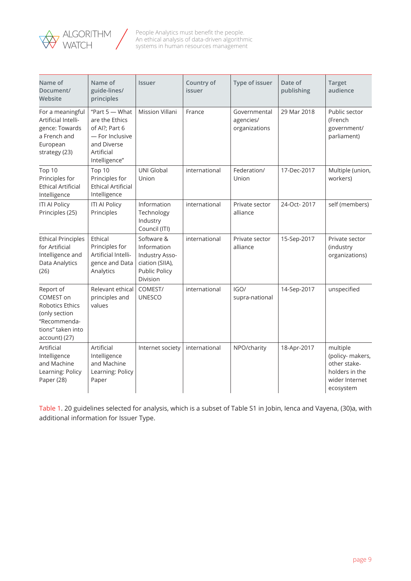

| Name of<br>Document/<br>Website                                                                                  | Name of<br>guide-lines/<br>principles                                                                                                           | Issuer                                                                                             | Country of<br>issuer | Type of issuer                             | Date of<br>publishing | <b>Target</b><br>audience                                                                     |
|------------------------------------------------------------------------------------------------------------------|-------------------------------------------------------------------------------------------------------------------------------------------------|----------------------------------------------------------------------------------------------------|----------------------|--------------------------------------------|-----------------------|-----------------------------------------------------------------------------------------------|
| For a meaningful<br>Artificial Intelli-<br>gence: Towards<br>a French and<br>European<br>strategy (23)           | "Part $5 -$ What<br><b>Mission Villani</b><br>are the Ethics<br>of Al?; Part 6<br>- For Inclusive<br>and Diverse<br>Artificial<br>Intelligence" |                                                                                                    | France               | Governmental<br>agencies/<br>organizations | 29 Mar 2018           | Public sector<br>(French<br>government/<br>parliament)                                        |
| Top 10<br>Principles for<br><b>Ethical Artificial</b><br>Intelligence                                            | Top 10<br>Principles for<br><b>Ethical Artificial</b><br>Intelligence                                                                           | <b>UNI Global</b><br>Union                                                                         | international        | Federation/<br>Union                       | 17-Dec-2017           | Multiple (union,<br>workers)                                                                  |
| <b>ITI AI Policy</b><br>Principles (25)                                                                          | <b>ITI AI Policy</b><br>Principles                                                                                                              | Information<br>Technology<br>Industry<br>Council (ITI)                                             | international        | Private sector<br>alliance                 | 24-Oct-2017           | self (members)                                                                                |
| <b>Ethical Principles</b><br>for Artificial<br>Intelligence and<br>Data Analytics<br>(26)                        | Ethical<br>Principles for<br>Artificial Intelli-<br>gence and Data<br>Analytics                                                                 | Software &<br>Information<br>Industry Asso-<br>ciation (SIIA),<br><b>Public Policy</b><br>Division | international        | Private sector<br>alliance                 | 15-Sep-2017           | Private sector<br>(industry<br>organizations)                                                 |
| Report of<br>COMEST on<br>Robotics Ethics<br>(only section<br>"Recommenda-<br>tions" taken into<br>account) (27) | Relevant ethical<br>principles and<br>values                                                                                                    | COMEST/<br><b>UNESCO</b>                                                                           | international        | IGO/<br>supra-national                     | 14-Sep-2017           | unspecified                                                                                   |
| Artificial<br>Intelligence<br>and Machine<br>Learning: Policy<br>Paper (28)                                      | Artificial<br>Intelligence<br>and Machine<br>Learning: Policy<br>Paper                                                                          | Internet society                                                                                   | international        | NPO/charity                                | 18-Apr-2017           | multiple<br>(policy- makers,<br>other stake-<br>holders in the<br>wider Internet<br>ecosystem |

Table 1. 20 guidelines selected for analysis, which is a subset of Table S1 in Jobin, Ienca and Vayena, (30)a, with additional information for Issuer Type.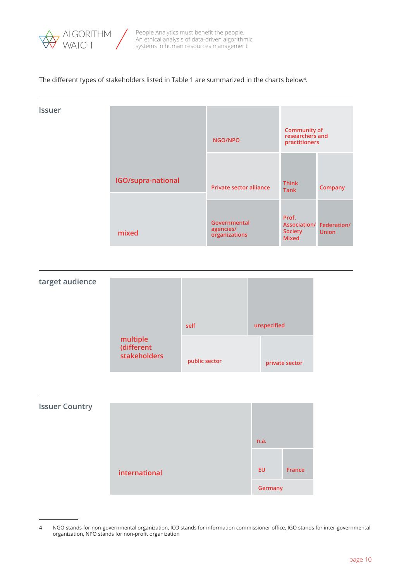

#### The different types of stakeholders listed in Table 1 are summarized in the charts below<sup>4</sup>.

| <b>Issuer</b> |                    | NGO/NPO                                    | <b>Community of</b><br>researchers and<br>practitioners |                                          |  |
|---------------|--------------------|--------------------------------------------|---------------------------------------------------------|------------------------------------------|--|
|               | IGO/supra-national | <b>Private sector alliance</b>             | <b>Think</b><br><b>Tank</b>                             | Company                                  |  |
|               | mixed              | Governmental<br>agencies/<br>organizations | Prof.<br><b>Society</b><br><b>Mixed</b>                 | Association/ Federation/<br><b>Union</b> |  |





<sup>4</sup> NGO stands for non-governmental organization, ICO stands for information commissioner office, IGO stands for inter-governmental organization, NPO stands for non-profit organization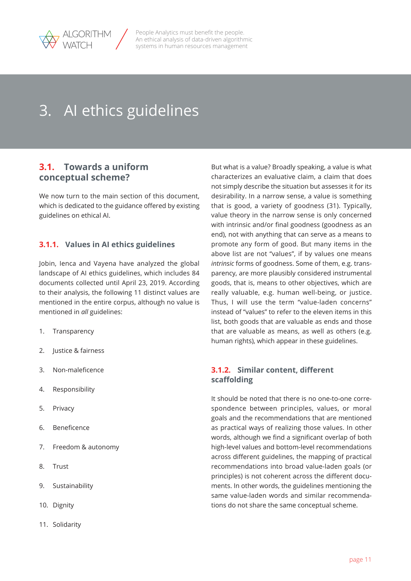<span id="page-10-0"></span>

# 3. AI ethics guidelines

## **3.1. Towards a uniform conceptual scheme?**

We now turn to the main section of this document, which is dedicated to the guidance offered by existing guidelines on ethical AI.

## **3.1.1. Values in AI ethics guidelines**

Jobin, Ienca and Vayena have analyzed the global landscape of AI ethics guidelines, which includes 84 documents collected until April 23, 2019. According to their analysis, the following 11 distinct values are mentioned in the entire corpus, although no value is mentioned in *all* guidelines:

- 1. Transparency
- 2. Justice & fairness
- 3. Non-maleficence
- 4. Responsibility
- 5. Privacy
- 6. Beneficence
- 7. Freedom & autonomy
- 8. Trust
- 9. Sustainability
- 10. Dignity
- 11. Solidarity

But what is a value? Broadly speaking, a value is what characterizes an evaluative claim, a claim that does not simply describe the situation but assesses it for its desirability. In a narrow sense, a value is something that is good, a variety of goodness (31). Typically, value theory in the narrow sense is only concerned with intrinsic and/or final goodness (goodness as an end), not with anything that can serve as a means to promote any form of good. But many items in the above list are not "values", if by values one means *intrinsic* forms of goodness. Some of them, e.g. transparency, are more plausibly considered instrumental goods, that is, means to other objectives, which are really valuable, e.g. human well-being, or justice. Thus, I will use the term "value-laden concerns" instead of "values" to refer to the eleven items in this list, both goods that are valuable as ends and those that are valuable as means, as well as others (e.g. human rights), which appear in these guidelines.

## **3.1.2. Similar content, different scaffolding**

It should be noted that there is no one-to-one correspondence between principles, values, or moral goals and the recommendations that are mentioned as practical ways of realizing those values. In other words, although we find a significant overlap of both high-level values and bottom-level recommendations across different guidelines, the mapping of practical recommendations into broad value-laden goals (or principles) is not coherent across the different documents. In other words, the guidelines mentioning the same value-laden words and similar recommendations do not share the same conceptual scheme.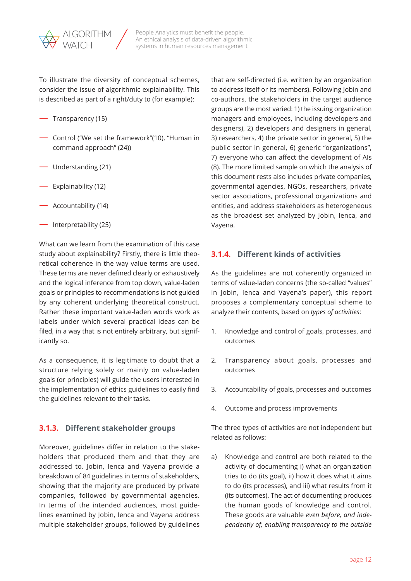<span id="page-11-0"></span>

To illustrate the diversity of conceptual schemes, consider the issue of algorithmic explainability. This is described as part of a right/duty to (for example):

- Transparency (15)
- Control ("We set the framework"(10), "Human in command approach" (24))
- Understanding (21)
- Explainability (12)
- Accountability (14)
- $\overline{\phantom{a}}$  Interpretability (25)

What can we learn from the examination of this case study about explainability? Firstly, there is little theoretical coherence in the way value terms are used. These terms are never defined clearly or exhaustively and the logical inference from top down, value-laden goals or principles to recommendations is not guided by any coherent underlying theoretical construct. Rather these important value-laden words work as labels under which several practical ideas can be filed, in a way that is not entirely arbitrary, but significantly so.

As a consequence, it is legitimate to doubt that a structure relying solely or mainly on value-laden goals (or principles) will guide the users interested in the implementation of ethics guidelines to easily find the guidelines relevant to their tasks.

### **3.1.3. Different stakeholder groups**

Moreover, guidelines differ in relation to the stakeholders that produced them and that they are addressed to. Jobin, Ienca and Vayena provide a breakdown of 84 guidelines in terms of stakeholders, showing that the majority are produced by private companies, followed by governmental agencies. In terms of the intended audiences, most guidelines examined by Jobin, Ienca and Vayena address multiple stakeholder groups, followed by guidelines that are self-directed (i.e. written by an organization to address itself or its members). Following Jobin and co-authors, the stakeholders in the target audience groups are the most varied: 1) the issuing organization managers and employees, including developers and designers), 2) developers and designers in general, 3) researchers, 4) the private sector in general, 5) the public sector in general, 6) generic "organizations", 7) everyone who can affect the development of AIs (8). The more limited sample on which the analysis of this document rests also includes private companies, governmental agencies, NGOs, researchers, private sector associations, professional organizations and entities, and address stakeholders as heterogeneous as the broadest set analyzed by Jobin, Ienca, and Vayena.

#### **3.1.4. Different kinds of activities**

As the guidelines are not coherently organized in terms of value-laden concerns (the so-called "values" in Jobin, Ienca and Vayena's paper), this report proposes a complementary conceptual scheme to analyze their contents, based on *types of activities*:

- 1. Knowledge and control of goals, processes, and outcomes
- 2. Transparency about goals, processes and outcomes
- 3. Accountability of goals, processes and outcomes
- 4. Outcome and process improvements

The three types of activities are not independent but related as follows:

a) Knowledge and control are both related to the activity of documenting i) what an organization tries to do (its goal), ii) how it does what it aims to do (its processes), and iii) what results from it (its outcomes). The act of documenting produces the human goods of knowledge and control. These goods are valuable *even before, and independently of, enabling transparency to the outside*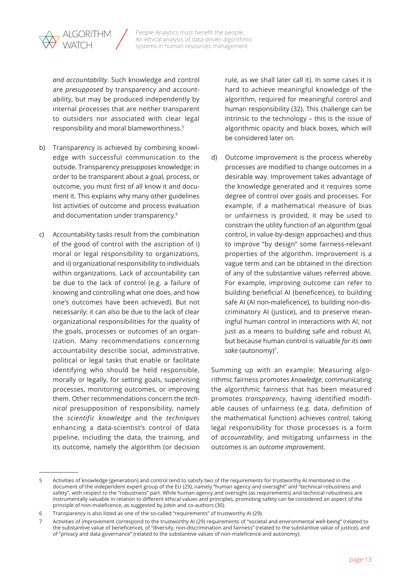

*and accountability*. Such knowledge and control are *presupposed* by transparency and accountability, but may be produced independently by internal processes that are neither transparent to outsiders nor associated with clear legal responsibility and moral blameworthiness.5

- b) Transparency is achieved by combining knowledge with successful communication to the outside. Transparency *presupposes* knowledge: in order to be transparent about a goal, process, or outcome, you must first of all know it and document it. This explains why many other guidelines list activities of outcome and process evaluation and documentation under transparency.6
- c) Accountability tasks result from the combination of the good of control with the ascription of i) moral or legal responsibility to organizations, and ii) organizational responsibility to individuals within organizations. Lack of accountability can be due to the lack of control (e.g. a failure of knowing and controlling what one does, and how one's outcomes have been achieved). But not necessarily: it can also be due to the lack of clear organizational responsibilities for the quality of the goals, processes or outcomes of an organization. Many recommendations concerning accountability describe social, administrative, political or legal tasks that enable or facilitate identifying who should be held responsible, morally or legally, for setting goals, supervising processes, monitoring outcomes, or improving them. Other recommendations concern the *technical* presupposition of responsibility, namely the *scientific knowledge* and the *techniques* enhancing a data-scientist's control of data pipeline, including the data, the training, and its outcome, namely the algorithm (or decision

rule, as we shall later call it). In some cases it is hard to achieve meaningful knowledge of the algorithm, required for meaningful control and human responsibility (32). This challenge can be intrinsic to the technology – this is the issue of algorithmic opacity and black boxes, which will be considered later on.

d) Outcome improvement is the process whereby processes are modified to change outcomes in a desirable way. Improvement takes advantage of the knowledge generated and it requires some degree of control over goals and processes. For example, if a mathematical measure of bias or unfairness is provided, it may be used to constrain the utility function of an algorithm (goal control, in value-by-design approaches) and thus to improve "by design" some fairness-relevant properties of the algorithm. Improvement is a vague term and can be obtained in the direction of any of the substantive values referred above. For example, improving outcome can refer to building beneficial AI (beneficence), to building safe AI (AI non-maleficence), to building non-discriminatory AI (justice), and to preserve meaningful human control in interactions with AI, not just as a means to building safe and robust AI, but because human control is valuable *for its own*  sake (autonomy)<sup>7</sup>.

Summing up with an example: Measuring algorithmic fairness promotes *knowledge*, communicating the algorithmic fairness that has been measured promotes *transparency*, having identified modifiable causes of unfairness (e.g. data, definition of the mathematical function) achieves *control*, taking legal responsibility for those processes is a form of *accountability*, and mitigating unfairness in the outcomes is an *outcome improvement*.

Activities of knowledge (generation) and control tend to satisfy two of the requirements for trustworthy AI mentioned in the document of the independent expert group of the EU (29), namely "human agency and oversight" and "technical robustness and safety", with respect to the "robustness" part. While human agency and oversight (as requirements) and technical robustness are instrumentally valuable in relation to different ethical values and principles, promoting safety can be considered an aspect of the principle of non-maleficence, as suggested by Jobin and co-authors (30).

<sup>6</sup> Transparency is also listed as one of the so-called "requirements" of trustworthy AI (29).

<sup>7</sup> Activities of improvement correspond to the trustworthy AI (29) requirements of "societal and environmental well-being" (related to the substantive value of beneficence), of "diversity, non-discrimination and fairness" (related to the substantive value of justice), and of "privacy and data governance" (related to the substantive values of non-maleficence and autonomy).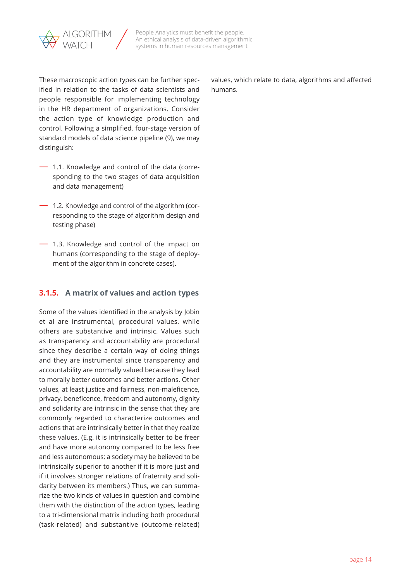<span id="page-13-0"></span>

These macroscopic action types can be further specified in relation to the tasks of data scientists and people responsible for implementing technology in the HR department of organizations. Consider the action type of knowledge production and control. Following a simplified, four-stage version of standard models of data science pipeline (9), we may distinguish:

- 1.1. Knowledge and control of the data (corresponding to the two stages of data acquisition and data management)
- 1.2. Knowledge and control of the algorithm (corresponding to the stage of algorithm design and testing phase)
- $-$  1.3. Knowledge and control of the impact on humans (corresponding to the stage of deployment of the algorithm in concrete cases).

## **3.1.5. A matrix of values and action types**

Some of the values identified in the analysis by Jobin et al are instrumental, procedural values, while others are substantive and intrinsic. Values such as transparency and accountability are procedural since they describe a certain way of doing things and they are instrumental since transparency and accountability are normally valued because they lead to morally better outcomes and better actions. Other values, at least justice and fairness, non-maleficence, privacy, beneficence, freedom and autonomy, dignity and solidarity are intrinsic in the sense that they are commonly regarded to characterize outcomes and actions that are intrinsically better in that they realize these values. (E.g. it is intrinsically better to be freer and have more autonomy compared to be less free and less autonomous; a society may be believed to be intrinsically superior to another if it is more just and if it involves stronger relations of fraternity and solidarity between its members.) Thus, we can summarize the two kinds of values in question and combine them with the distinction of the action types, leading to a tri-dimensional matrix including both procedural (task-related) and substantive (outcome-related)

values, which relate to data, algorithms and affected humans.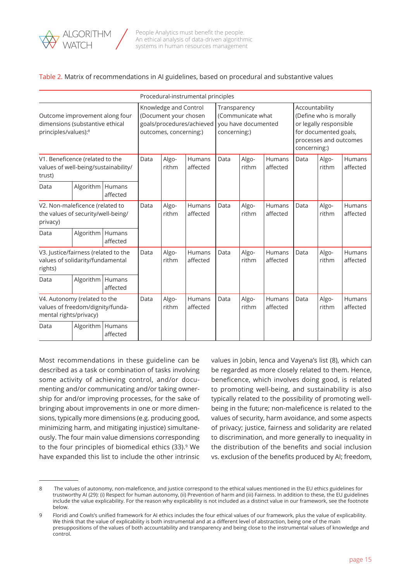

#### Table 2. Matrix of recommendations in AI guidelines, based on procedural and substantive values

|                                                                                            | Procedural-instrumental principles |                    |                                                                                                       |                    |                                                                          |                |                                                                                                                                       |                           |                |                           |                           |
|--------------------------------------------------------------------------------------------|------------------------------------|--------------------|-------------------------------------------------------------------------------------------------------|--------------------|--------------------------------------------------------------------------|----------------|---------------------------------------------------------------------------------------------------------------------------------------|---------------------------|----------------|---------------------------|---------------------------|
| Outcome improvement along four<br>dimensions (substantive ethical<br>principles/values):8  |                                    |                    | Knowledge and Control<br>(Document your chosen<br>goals/procedures/achieved<br>outcomes, concerning:) |                    | Transparency<br>(Communicate what<br>you have documented<br>concerning:) |                | Accountability<br>(Define who is morally<br>or legally responsible<br>for documented goals,<br>processes and outcomes<br>concerning:) |                           |                |                           |                           |
| V1. Beneficence (related to the<br>values of well-being/sustainability/<br>trust)          |                                    | Data               | Algo-<br>rithm                                                                                        | Humans<br>affected | Data                                                                     | Algo-<br>rithm | <b>Humans</b><br>affected                                                                                                             | Data                      | Algo-<br>rithm | <b>Humans</b><br>affected |                           |
| Data                                                                                       | Algorithm   Humans                 | affected           |                                                                                                       |                    |                                                                          |                |                                                                                                                                       |                           |                |                           |                           |
| V2. Non-maleficence (related to<br>the values of security/well-being/<br>privacy)          |                                    | Data               | Algo-<br>rithm                                                                                        | Humans<br>affected | Data                                                                     | Algo-<br>rithm | Humans<br>affected                                                                                                                    | Data                      | Algo-<br>rithm | <b>Humans</b><br>affected |                           |
| Data                                                                                       | Algorithm                          | Humans<br>affected |                                                                                                       |                    |                                                                          |                |                                                                                                                                       |                           |                |                           |                           |
| V3. Justice/fairness (related to the<br>values of solidarity/fundamental<br>rights)        |                                    |                    | Data                                                                                                  | Algo-<br>rithm     | Humans<br>affected                                                       | Data           | Algo-<br>rithm                                                                                                                        | <b>Humans</b><br>affected | Data           | Algo-<br>rithm            | <b>Humans</b><br>affected |
| Data                                                                                       | Algorithm   Humans                 | affected           |                                                                                                       |                    |                                                                          |                |                                                                                                                                       |                           |                |                           |                           |
| V4. Autonomy (related to the<br>values of freedom/dignity/funda-<br>mental rights/privacy) |                                    | Data               | Algo-<br>rithm                                                                                        | Humans<br>affected | Data                                                                     | Algo-<br>rithm | <b>Humans</b><br>affected                                                                                                             | Data                      | Algo-<br>rithm | <b>Humans</b><br>affected |                           |
| Algorithm<br>Humans<br>Data<br>affected                                                    |                                    |                    |                                                                                                       |                    |                                                                          |                |                                                                                                                                       |                           |                |                           |                           |

Most recommendations in these guideline can be described as a task or combination of tasks involving some activity of achieving control, and/or documenting and/or communicating and/or taking ownership for and/or improving processes, for the sake of bringing about improvements in one or more dimensions, typically more dimensions (e.g. producing good, minimizing harm, and mitigating injustice) simultaneously. The four main value dimensions corresponding to the four principles of biomedical ethics (33).<sup>9</sup> We have expanded this list to include the other intrinsic values in Jobin, Ienca and Vayena's list (8), which can be regarded as more closely related to them. Hence, beneficence, which involves doing good, is related to promoting well-being, and sustainability is also typically related to the possibility of promoting wellbeing in the future; non-maleficence is related to the values of security, harm avoidance, and some aspects of privacy; justice, fairness and solidarity are related to discrimination, and more generally to inequality in the distribution of the benefits and social inclusion vs. exclusion of the benefits produced by AI; freedom,

<sup>8</sup> The values of autonomy, non-maleficence, and justice correspond to the ethical values mentioned in the EU ethics guidelines for trustworthy AI (29): (i) Respect for human autonomy, (ii) Prevention of harm and (iii) Fairness. In addition to these, the EU guidelines include the value explicability. For the reason why explicability is not included as a distinct value in our framework, see the footnote below.

<sup>9</sup> Floridi and Cowls's unified framework for AI ethics includes the four ethical values of our framework, plus the value of explicability. We think that the value of explicability is both instrumental and at a different level of abstraction, being one of the main presuppositions of the values of both accountability and transparency and being close to the instrumental values of knowledge and control.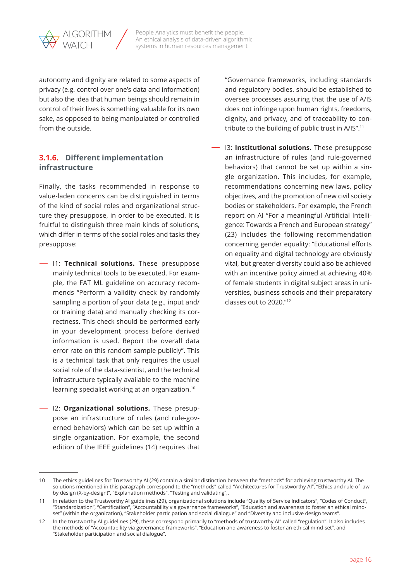<span id="page-15-0"></span>

autonomy and dignity are related to some aspects of privacy (e.g. control over one's data and information) but also the idea that human beings should remain in control of their lives is something valuable for its own sake, as opposed to being manipulated or controlled from the outside.

## **3.1.6. Different implementation infrastructure**

Finally, the tasks recommended in response to value-laden concerns can be distinguished in terms of the kind of social roles and organizational structure they presuppose, in order to be executed. It is fruitful to distinguish three main kinds of solutions, which differ in terms of the social roles and tasks they presuppose:

- I1: **Technical solutions.** These presuppose mainly technical tools to be executed. For example, the FAT ML guideline on accuracy recommends "Perform a validity check by randomly sampling a portion of your data (e.g., input and/ or training data) and manually checking its correctness. This check should be performed early in your development process before derived information is used. Report the overall data error rate on this random sample publicly". This is a technical task that only requires the usual social role of the data-scientist, and the technical infrastructure typically available to the machine learning specialist working at an organization.10
	- I2: **Organizational solutions.** These presuppose an infrastructure of rules (and rule-governed behaviors) which can be set up within a single organization. For example, the second edition of the IEEE guidelines (14) requires that

"Governance frameworks, including standards and regulatory bodies, should be established to oversee processes assuring that the use of A/IS does not infringe upon human rights, freedoms, dignity, and privacy, and of traceability to contribute to the building of public trust in A/IS".<sup>11</sup>

— I3: **Institutional solutions.** These presuppose an infrastructure of rules (and rule-governed behaviors) that cannot be set up within a single organization. This includes, for example, recommendations concerning new laws, policy objectives, and the promotion of new civil society bodies or stakeholders. For example, the French report on AI "For a meaningful Artificial Intelligence: Towards a French and European strategy" (23) includes the following recommendation concerning gender equality: "Educational efforts on equality and digital technology are obviously vital, but greater diversity could also be achieved with an incentive policy aimed at achieving 40% of female students in digital subject areas in universities, business schools and their preparatory classes out to 2020."12

<sup>10</sup> The ethics guidelines for Trustworthy AI (29) contain a similar distinction between the "methods" for achieving trustworthy AI. The solutions mentioned in this paragraph correspond to the "methods" called "Architectures for Trustworthy AI", "Ethics and rule of law by design (X-by-design)", "Explanation methods", "Testing and validating",.

<sup>11</sup> In relation to the Trustworthy AI guidelines (29), organizational solutions include "Quality of Service Indicators", "Codes of Conduct", "Standardization", "Certification", "Accountability via governance frameworks", "Education and awareness to foster an ethical mindset" (within the organization), "Stakeholder participation and social dialogue" and "Diversity and inclusive design teams".

<sup>12</sup> In the trustworthy AI guidelines (29), these correspond primarily to "methods of trustworthy AI" called "regulation". It also includes the methods of "Accountability via governance frameworks", "Education and awareness to foster an ethical mind-set", and "Stakeholder participation and social dialogue".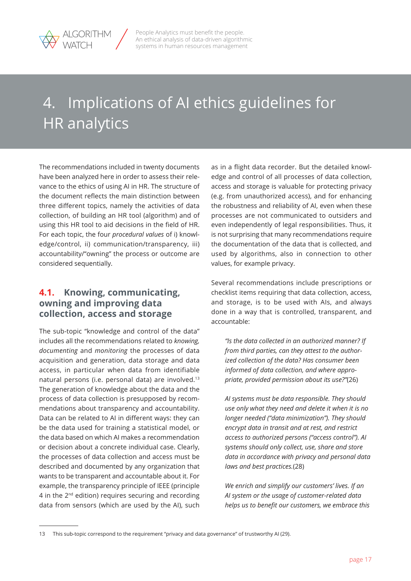<span id="page-16-0"></span>

# 4. Implications of AI ethics guidelines for HR analytics

The recommendations included in twenty documents have been analyzed here in order to assess their relevance to the ethics of using AI in HR. The structure of the document reflects the main distinction between three different topics, namely the activities of data collection, of building an HR tool (algorithm) and of using this HR tool to aid decisions in the field of HR. For each topic, the four *procedural values* of i) knowledge/control, ii) communication/transparency, iii) accountability/"owning" the process or outcome are considered sequentially.

## **4.1. Knowing, communicating, owning and improving data collection, access and storage**

The sub-topic "knowledge and control of the data" includes all the recommendations related to *knowing, documenting* and *monitoring* the processes of data acquisition and generation, data storage and data access, in particular when data from identifiable natural persons (i.e. personal data) are involved.13 The generation of knowledge about the data and the process of data collection is presupposed by recommendations about transparency and accountability. Data can be related to AI in different ways: they can be the data used for training a statistical model, or the data based on which AI makes a recommendation or decision about a concrete individual case. Clearly, the processes of data collection and access must be described and documented by any organization that wants to be transparent and accountable about it. For example, the transparency principle of IEEE (principle 4 in the 2<sup>nd</sup> edition) requires securing and recording data from sensors (which are used by the AI), such as in a flight data recorder. But the detailed knowledge and control of all processes of data collection, access and storage is valuable for protecting privacy (e.g. from unauthorized access), and for enhancing the robustness and reliability of AI, even when these processes are not communicated to outsiders and even independently of legal responsibilities. Thus, it is not surprising that many recommendations require the documentation of the data that is collected, and used by algorithms, also in connection to other values, for example privacy.

Several recommendations include prescriptions or checklist items requiring that data collection, access, and storage, is to be used with AIs, and always done in a way that is controlled, transparent, and accountable:

*"Is the data collected in an authorized manner? If from third parties, can they attest to the authorized collection of the data? Has consumer been informed of data collection, and where appropriate, provided permission about its use?"*(26)

*AI systems must be data responsible. They should use only what they need and delete it when it is no longer needed ("data minimization"). They should encrypt data in transit and at rest, and restrict access to authorized persons ("access control"). AI systems should only collect, use, share and store data in accordance with privacy and personal data laws and best practices.*(28)

*We enrich and simplify our customers' lives. If an AI system or the usage of customer-related data helps us to benefit our customers, we embrace this* 

<sup>13</sup> This sub-topic correspond to the requirement "privacy and data governance" of trustworthy AI (29).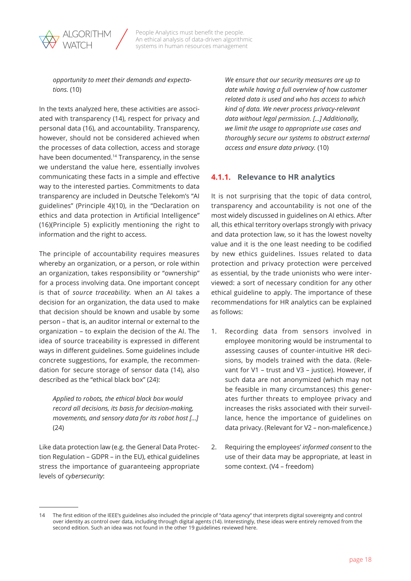<span id="page-17-0"></span>

*opportunity to meet their demands and expectations.* (10)

In the texts analyzed here, these activities are associated with transparency (14), respect for privacy and personal data (16), and accountability. Transparency, however, should not be considered achieved when the processes of data collection, access and storage have been documented.14 Transparency, in the sense we understand the value here, essentially involves communicating these facts in a simple and effective way to the interested parties. Commitments to data transparency are included in Deutsche Telekom's "AI guidelines" (Principle 4)(10), in the "Declaration on ethics and data protection in Artificial Intelligence" (16)(Principle 5) explicitly mentioning the right to information and the right to access.

The principle of accountability requires measures whereby an organization, or a person, or role within an organization, takes responsibility or "ownership" for a process involving data. One important concept is that of *source traceability.* When an AI takes a decision for an organization, the data used to make that decision should be known and usable by some person – that is, an auditor internal or external to the organization – to explain the decision of the AI. The idea of source traceability is expressed in different ways in different guidelines. Some guidelines include concrete suggestions, for example, the recommendation for secure storage of sensor data (14), also described as the "ethical black box" (24):

*Applied to robots, the ethical black box would record all decisions, its basis for decision-making, movements, and sensory data for its robot host […]*  (24)

Like data protection law (e.g. the General Data Protection Regulation – GDPR – in the EU), ethical guidelines stress the importance of guaranteeing appropriate levels of *cybersecurity*:

*We ensure that our security measures are up to date while having a full overview of how customer related data is used and who has access to which kind of data. We never process privacy-relevant data without legal permission. […] Additionally, we limit the usage to appropriate use cases and thoroughly secure our systems to obstruct external access and ensure data privacy.* (10)

## **4.1.1. Relevance to HR analytics**

It is not surprising that the topic of data control, transparency and accountability is not one of the most widely discussed in guidelines on AI ethics. After all, this ethical territory overlaps strongly with privacy and data protection law, so it has the lowest novelty value and it is the one least needing to be codified by new ethics guidelines. Issues related to data protection and privacy protection were perceived as essential, by the trade unionists who were interviewed: a sort of necessary condition for any other ethical guideline to apply. The importance of these recommendations for HR analytics can be explained as follows:

- 1. Recording data from sensors involved in employee monitoring would be instrumental to assessing causes of counter-intuitive HR decisions, by models trained with the data. (Relevant for V1 – trust and V3 – justice). However, if such data are not anonymized (which may not be feasible in many circumstances) this generates further threats to employee privacy and increases the risks associated with their surveillance, hence the importance of guidelines on data privacy. (Relevant for V2 – non-maleficence.)
- 2. Requiring the employees' *informed consent* to the use of their data may be appropriate, at least in some context. (V4 – freedom)

<sup>14</sup> The first edition of the IEEE's guidelines also included the principle of "data agency" that interprets digital sovereignty and control over identity as control over data, including through digital agents (14). Interestingly, these ideas were entirely removed from the second edition. Such an idea was not found in the other 19 guidelines reviewed here.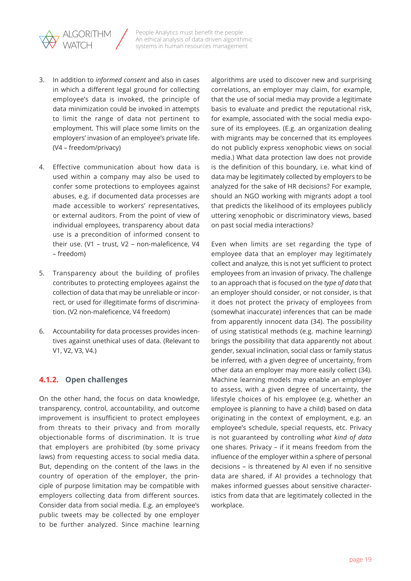<span id="page-18-0"></span>

- 3. In addition to *informed consent* and also in cases in which a different legal ground for collecting employee's data is invoked, the principle of data minimization could be invoked in attempts to limit the range of data not pertinent to employment. This will place some limits on the employers' invasion of an employee's private life. (V4 – freedom/privacy)
- 4. Effective communication about how data is used within a company may also be used to confer some protections to employees against abuses, e.g. if documented data processes are made accessible to workers' representatives, or external auditors. From the point of view of individual employees, transparency about data use is a precondition of informed consent to their use. (V1 – trust, V2 – non-maleficence, V4 – freedom)
- 5. Transparency about the building of profiles contributes to protecting employees against the collection of data that may be unreliable or incorrect, or used for illegitimate forms of discrimination. (V2 non-maleficence, V4 freedom)
- 6. Accountability for data processes provides incentives against unethical uses of data. (Relevant to V1, V2, V3, V4.)

## **4.1.2. Open challenges**

On the other hand, the focus on data knowledge, transparency, control, accountability, and outcome improvement is insufficient to protect employees from threats to their privacy and from morally objectionable forms of discrimination. It is true that employers are prohibited (by some privacy laws) from requesting access to social media data. But, depending on the content of the laws in the country of operation of the employer, the principle of purpose limitation may be compatible with employers collecting data from different sources. Consider data from social media. E.g. an employee's public tweets may be collected by one employer to be further analyzed. Since machine learning algorithms are used to discover new and surprising correlations, an employer may claim, for example, that the use of social media may provide a legitimate basis to evaluate and predict the reputational risk, for example, associated with the social media exposure of its employees. (E.g. an organization dealing with migrants may be concerned that its employees do not publicly express xenophobic views on social media.) What data protection law does not provide is the definition of this boundary, i.e. what kind of data may be legitimately collected by employers to be analyzed for the sake of HR decisions? For example, should an NGO working with migrants adopt a tool that predicts the likelihood of its employees publicly uttering xenophobic or discriminatory views, based on past social media interactions?

Even when limits are set regarding the type of employee data that an employer may legitimately collect and analyze, this is not yet sufficient to protect employees from an invasion of privacy. The challenge to an approach that is focused on the *type of data* that an employer should consider, or not consider, is that it does not protect the privacy of employees from (somewhat inaccurate) inferences that can be made from apparently innocent data (34). The possibility of using statistical methods (e.g. machine learning) brings the possibility that data apparently not about gender, sexual inclination, social class or family status be inferred, with a given degree of uncertainty, from other data an employer may more easily collect (34). Machine learning models may enable an employer to assess, with a given degree of uncertainty, the lifestyle choices of his employee (e.g. whether an employee is planning to have a child) based on data originating in the context of employment, e.g. an employee's schedule, special requests, etc. Privacy is not guaranteed by controlling *what kind of data* one shares. Privacy – if it means freedom from the influence of the employer within a sphere of personal decisions – is threatened by AI even if no sensitive data are shared, if AI provides a technology that makes informed guesses about sensitive characteristics from data that are legitimately collected in the workplace.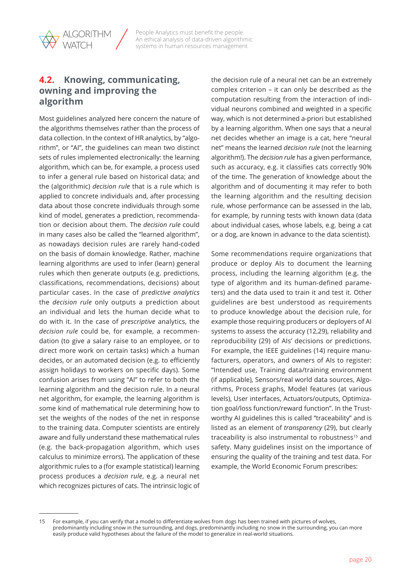<span id="page-19-0"></span>

## **4.2. Knowing, communicating, owning and improving the algorithm**

Most guidelines analyzed here concern the nature of the algorithms themselves rather than the process of data collection. In the context of HR analytics, by "algorithm", or "AI", the guidelines can mean two distinct sets of rules implemented electronically: the learning algorithm, which can be, for example, a process used to infer a general rule based on historical data; and the (algorithmic) *decision rule* that is a rule which is applied to concrete individuals and, after processing data about those concrete individuals through some kind of model, generates a prediction, recommendation or decision about them. The *decision rule* could in many cases also be called the "learned algorithm", as nowadays decision rules are rarely hand-coded on the basis of domain knowledge. Rather, machine learning algorithms are used to infer (learn) general rules which then generate outputs (e.g. predictions, classifications, recommendations, decisions) about particular cases. In the case of *predictive analytics*  the *decision rule* only outputs a prediction about an individual and lets the human decide what to do with it. In the case of *prescriptive* analytics, the *decision rule* could be, for example, a recommendation (to give a salary raise to an employee, or to direct more work on certain tasks) which a human decides, or an automated decision (e.g. to efficiently assign holidays to workers on specific days). Some confusion arises from using "AI" to refer to both the learning algorithm and the decision rule. In a neural net algorithm, for example, the learning algorithm is some kind of mathematical rule determining how to set the weights of the nodes of the net in response to the training data. Computer scientists are entirely aware and fully understand these mathematical rules (e.g. the back-propagation algorithm, which uses calculus to minimize errors). The application of these algorithmic rules to a (for example statistical) learning process produces a *decision rule*, e.g. a neural net which recognizes pictures of cats. The intrinsic logic of the decision rule of a neural net can be an extremely complex criterion – it can only be described as the computation resulting from the interaction of individual neurons combined and weighted in a specific way, which is not determined a-priori but established by a learning algorithm. When one says that a neural net decides whether an image is a cat, here "neural net" means the learned *decision rule* (not the learning algorithm!). The *decision rule* has a given performance, such as accuracy, e.g. it classifies cats correctly 90% of the time. The generation of knowledge about the algorithm and of documenting it may refer to both the learning algorithm and the resulting decision rule, whose performance can be assessed in the lab, for example, by running tests with known data (data about individual cases, whose labels, e.g. being a cat or a dog, are known in advance to the data scientist).

Some recommendations require organizations that produce or deploy AIs to document the learning process, including the learning algorithm (e.g. the type of algorithm and its human-defined parameters) and the data used to train it and test it. Other guidelines are best understood as requirements to produce knowledge about the decision rule, for example those requiring producers or deployers of AI systems to assess the accuracy (12,29), reliability and reproducibility (29) of AIs' decisions or predictions. For example, the IEEE guidelines (14) require manufacturers, operators, and owners of AIs to register: "Intended use, Training data/training environment (if applicable), Sensors/real world data sources, Algorithms, Process graphs, Model features (at various levels), User interfaces, Actuators/outputs, Optimization goal/loss function/reward function". In the Trustworthy AI guidelines this is called "traceability" and is listed as an element of *transparency* (29), but clearly traceability is also instrumental to robustness<sup>15</sup> and safety. Many guidelines insist on the importance of ensuring the quality of the training and test data. For example, the World Economic Forum prescribes:

<sup>15</sup> For example, if you can verify that a model to differentiate wolves from dogs has been trained with pictures of wolves, predominantly including snow in the surrounding, and dogs, predominantly including no snow in the surrounding, you can more easily produce valid hypotheses about the failure of the model to generalize in real-world situations.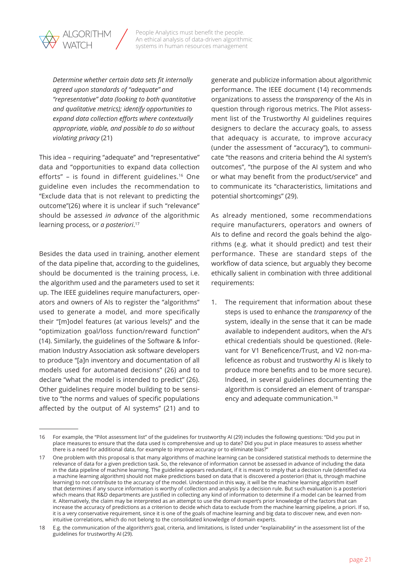*Determine whether certain data sets fit internally agreed upon standards of "adequate" and "representative" data (looking to both quantitative and qualitative metrics); identify opportunities to expand data collection efforts where contextually appropriate, viable, and possible to do so without violating privacy* (21)

This idea – requiring "adequate" and "representative" data and "opportunities to expand data collection efforts" – is found in different guidelines.16 One guideline even includes the recommendation to "Exclude data that is not relevant to predicting the outcome"(26) where it is unclear if such "relevance" should be assessed *in advance* of the algorithmic learning process, or *a posteriori*. 17

Besides the data used in training, another element of the data pipeline that, according to the guidelines, should be documented is the training process, i.e. the algorithm used and the parameters used to set it up. The IEEE guidelines require manufacturers, operators and owners of AIs to register the "algorithms" used to generate a model, and more specifically their "[m]odel features (at various levels)" and the "optimization goal/loss function/reward function" (14). Similarly, the guidelines of the Software & Information Industry Association ask software developers to produce "[a]n inventory and documentation of all models used for automated decisions" (26) and to declare "what the model is intended to predict" (26). Other guidelines require model building to be sensitive to "the norms and values of specific populations affected by the output of AI systems" (21) and to generate and publicize information about algorithmic performance. The IEEE document (14) recommends organizations to assess the *transparency* of the AIs in question through rigorous metrics. The Pilot assessment list of the Trustworthy AI guidelines requires designers to declare the accuracy goals, to assess that adequacy is accurate, to improve accuracy (under the assessment of "accuracy"), to communicate "the reasons and criteria behind the AI system's outcomes", "the purpose of the AI system and who or what may benefit from the product/service" and to communicate its "characteristics, limitations and potential shortcomings" (29).

As already mentioned, some recommendations require manufacturers, operators and owners of AIs to define and record the goals behind the algorithms (e.g. what it should predict) and test their performance. These are standard steps of the workflow of data science, but arguably they become ethically salient in combination with three additional requirements:

1. The requirement that information about these steps is used to enhance the *transparency* of the system, ideally in the sense that it can be made available to independent auditors, when the AI's ethical credentials should be questioned. (Relevant for V1 Beneficence/Trust, and V2 non-maleficence as robust and trustworthy AI is likely to produce more benefits and to be more secure). Indeed, in several guidelines documenting the algorithm is considered an element of transparency and adequate communication.18

<sup>16</sup> For example, the "Pilot assessment list" of the guidelines for trustworthy AI (29) includes the following questions: "Did you put in place measures to ensure that the data used is comprehensive and up to date? Did you put in place measures to assess whether there is a need for additional data, for example to improve accuracy or to eliminate bias?"

<sup>17</sup> One problem with this proposal is that many algorithms of machine learning can be considered statistical methods to determine the relevance of data for a given prediction task. So, the relevance of information cannot be assessed in advance of including the data in the data pipeline of machine learning. The guideline appears redundant, if it is meant to imply that a decision rule (identified via a machine learning algorithm) should not make predictions based on data that is discovered a posteriori (that is, through machine learning) to not contribute to the accuracy of the model. Understood in this way, it will be the machine learning algorithm itself that determines if any source information is worthy of collection and analysis by a decision rule. But such evaluation is a posteriori which means that R&D departments are justified in collecting any kind of information to determine if a model can be learned from it. Alternatively, the claim may be interpreted as an attempt to use the domain expert's prior knowledge of the factors that can increase the accuracy of predictions as a criterion to decide which data to exclude from the machine learning pipeline, a priori. If so, it is a very conservative requirement, since it is one of the goals of machine learning and big data to discover new, and even nonintuitive correlations, which do not belong to the consolidated knowledge of domain experts.

<sup>18</sup> E.g. the communication of the algorithm's goal, criteria, and limitations, is listed under "explainability" in the assessment list of the guidelines for trustworthy AI (29).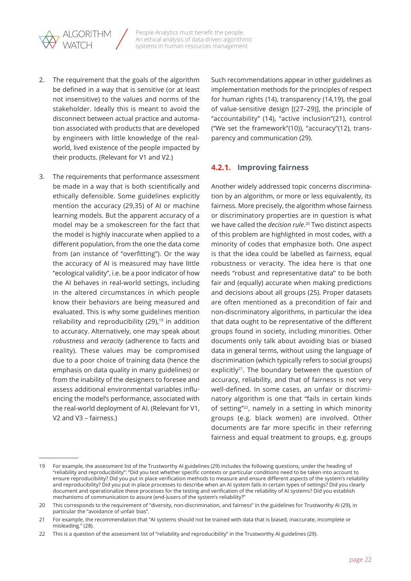<span id="page-21-0"></span>

- 2. The requirement that the goals of the algorithm be defined in a way that is sensitive (or at least not insensitive) to the values and norms of the stakeholder. Ideally this is meant to avoid the disconnect between actual practice and automation associated with products that are developed by engineers with little knowledge of the realworld, lived existence of the people impacted by their products. (Relevant for V1 and V2.)
- 3. The requirements that performance assessment be made in a way that is both scientifically and ethically defensible. Some guidelines explicitly mention the accuracy (29,35) of AI or machine learning models. But the apparent accuracy of a model may be a smokescreen for the fact that the model is highly inaccurate when applied to a different population, from the one the data come from (an instance of "overfitting"). Or the way the accuracy of AI is measured may have little "ecological validity", i.e. be a poor indicator of how the AI behaves in real-world settings, including in the altered circumstances in which people know their behaviors are being measured and evaluated. This is why some guidelines mention reliability and reproducibility  $(29)$ ,<sup>19</sup> in addition to accuracy. Alternatively, one may speak about *robustness* and *veracity* (adherence to facts and reality). These values may be compromised due to a poor choice of training data (hence the emphasis on data quality in many guidelines) or from the inability of the designers to foresee and assess additional environmental variables influencing the model's performance, associated with the real-world deployment of AI. (Relevant for V1, V2 and V3 – fairness.)

Such recommendations appear in other guidelines as implementation methods for the principles of respect for human rights (14), transparency (14,19), the goal of value-sensitive design [(27–29)], the principle of "accountability" (14), "active inclusion"(21), control ("We set the framework"(10)), "accuracy"(12), transparency and communication (29).

### **4.2.1. Improving fairness**

Another widely addressed topic concerns discrimination by an algorithm, or more or less equivalently, its fairness. More precisely, the algorithm whose fairness or discriminatory properties are in question is what we have called the *decision rule*. 20 Two distinct aspects of this problem are highlighted in most codes, with a minority of codes that emphasize both. One aspect is that the idea could be labelled as fairness, equal robustness or veracity. The idea here is that one needs "robust and representative data" to be both fair and (equally) accurate when making predictions and decisions about all groups (25). Proper datasets are often mentioned as a precondition of fair and non-discriminatory algorithms, in particular the idea that data ought to be representative of the different groups found in society, including minorities. Other documents only talk about avoiding bias or biased data in general terms, without using the language of discrimination (which typically refers to social groups) explicitly $2^1$ . The boundary between the question of accuracy, reliability, and that of fairness is not very well-defined. In some cases, an unfair or discriminatory algorithm is one that "fails in certain kinds of setting"<sup>22</sup>, namely in a setting in which minority groups (e.g. black women) are involved. Other documents are far more specific in their referring fairness and equal treatment to groups, e.g. groups

<sup>19</sup> For example, the assessment list of the Trustworthy AI guidelines (29) includes the following questions, under the heading of "reliability and reproducibility": "Did you test whether specific contexts or particular conditions need to be taken into account to ensure reproducibility? Did you put in place verification methods to measure and ensure different aspects of the system's reliability and reproducibility? Did you put in place processes to describe when an AI system fails in certain types of settings? Did you clearly document and operationalize these processes for the testing and verification of the reliability of AI systems? Did you establish mechanisms of communication to assure (end-)users of the system's reliability?"

<sup>20</sup> This corresponds to the requirement of "diversity, non-discrimination, and fairness" in the guidelines for Trustworthy AI (29), in particular the "avoidance of unfair bias".

<sup>21</sup> For example, the recommendation that "AI systems should not be trained with data that is biased, inaccurate, incomplete or misleading." (28).

<sup>22</sup> This is a question of the assessment list of "reliability and reproducibility" in the Trustworthy AI guidelines (29).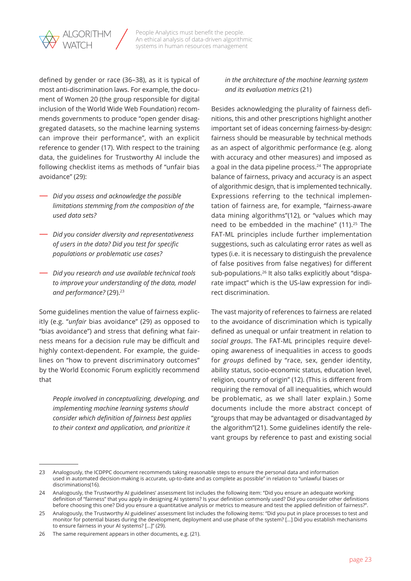

defined by gender or race (36–38), as it is typical of most anti-discrimination laws. For example, the document of Women 20 (the group responsible for digital inclusion of the World Wide Web Foundation) recommends governments to produce "open gender disaggregated datasets, so the machine learning systems can improve their performance", with an explicit reference to gender (17). With respect to the training data, the guidelines for Trustworthy AI include the following checklist items as methods of "unfair bias avoidance" (29):

- *Did you assess and acknowledge the possible limitations stemming from the composition of the used data sets?*
- *Did you consider diversity and representativeness of users in the data? Did you test for specific populations or problematic use cases?*
- *Did you research and use available technical tools to improve your understanding of the data, model*  and performance? (29).<sup>23</sup>

Some guidelines mention the value of fairness explicitly (e.g. "*unfair* bias avoidance" (29) as opposed to "bias avoidance") and stress that defining what fairness means for a decision rule may be difficult and highly context-dependent. For example, the guidelines on "how to prevent discriminatory outcomes" by the World Economic Forum explicitly recommend that

*People involved in conceptualizing, developing, and implementing machine learning systems should consider which definition of fairness best applies to their context and application, and prioritize it* 

### *in the architecture of the machine learning system and its evaluation metrics* (21)

Besides acknowledging the plurality of fairness definitions, this and other prescriptions highlight another important set of ideas concerning fairness-by-design: fairness should be measurable by technical methods as an aspect of algorithmic performance (e.g. along with accuracy and other measures) and imposed as a goal in the data pipeline process. $24$  The appropriate balance of fairness, privacy and accuracy is an aspect of algorithmic design, that is implemented technically. Expressions referring to the technical implementation of fairness are, for example, "fairness-aware data mining algorithms"(12), or "values which may need to be embedded in the machine" (11).<sup>25</sup> The FAT-ML principles include further implementation suggestions, such as calculating error rates as well as types (i.e. it is necessary to distinguish the prevalence of false positives from false negatives) for different sub-populations.26 It also talks explicitly about "disparate impact" which is the US-law expression for indirect discrimination.

The vast majority of references to fairness are related to the avoidance of discrimination which is typically defined as unequal or unfair treatment in relation to *social groups*. The FAT-ML principles require developing awareness of inequalities in access to goods for *groups* defined by "race, sex, gender identity, ability status, socio-economic status, education level, religion, country of origin" (12). (This is different from requiring the removal of all inequalities, which would be problematic, as we shall later explain.) Some documents include the more abstract concept of "groups that may be advantaged or disadvantaged *by*  the algorithm"(21). Some guidelines identify the relevant groups by reference to past and existing social

<sup>23</sup> Analogously, the ICDPPC document recommends taking reasonable steps to ensure the personal data and information used in automated decision-making is accurate, up-to-date and as complete as possible" in relation to "unlawful biases or discriminations(16).

<sup>24</sup> Analogously, the Trustworthy AI guidelines' assessment list includes the following item: "Did you ensure an adequate working definition of "fairness" that you apply in designing AI systems? Is your definition commonly used? Did you consider other definitions before choosing this one? Did you ensure a quantitative analysis or metrics to measure and test the applied definition of fairness?".

<sup>25</sup> Analogously, the Trustworthy AI guidelines' assessment list includes the following items: "Did you put in place processes to test and monitor for potential biases during the development, deployment and use phase of the system? […] Did you establish mechanisms to ensure fairness in your AI systems? […]" (29).

<sup>26</sup> The same requirement appears in other documents, e.g. (21).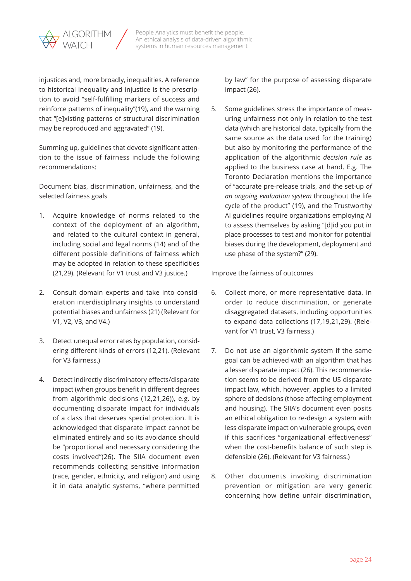

injustices and, more broadly, inequalities. A reference to historical inequality and injustice is the prescription to avoid "self-fulfilling markers of success and reinforce patterns of inequality"(19), and the warning that "[e]xisting patterns of structural discrimination may be reproduced and aggravated" (19).

Summing up, guidelines that devote significant attention to the issue of fairness include the following recommendations:

Document bias, discrimination, unfairness, and the selected fairness goals

- 1. Acquire knowledge of norms related to the context of the deployment of an algorithm, and related to the cultural context in general, including social and legal norms (14) and of the different possible definitions of fairness which may be adopted in relation to these specificities (21,29). (Relevant for V1 trust and V3 justice.)
- 2. Consult domain experts and take into consideration interdisciplinary insights to understand potential biases and unfairness (21) (Relevant for V1, V2, V3, and V4.)
- 3. Detect unequal error rates by population, considering different kinds of errors (12,21). (Relevant for V3 fairness.)
- 4. Detect indirectly discriminatory effects/disparate impact (when groups benefit in different degrees from algorithmic decisions (12,21,26)), e.g. by documenting disparate impact for individuals of a class that deserves special protection. It is acknowledged that disparate impact cannot be eliminated entirely and so its avoidance should be "proportional and necessary considering the costs involved"(26). The SIIA document even recommends collecting sensitive information (race, gender, ethnicity, and religion) and using it in data analytic systems, "where permitted

by law" for the purpose of assessing disparate impact (26).

5. Some guidelines stress the importance of measuring unfairness not only in relation to the test data (which are historical data, typically from the same source as the data used for the training) but also by monitoring the performance of the application of the algorithmic *decision rule* as applied to the business case at hand. E.g. The Toronto Declaration mentions the importance of "accurate pre-release trials, and the set-up *of an ongoing evaluation system* throughout the life cycle of the product" (19), and the Trustworthy AI guidelines require organizations employing AI to assess themselves by asking "[d]id you put in place processes to test and monitor for potential biases during the development, deployment and use phase of the system?" (29).

Improve the fairness of outcomes

- 6. Collect more, or more representative data, in order to reduce discrimination, or generate disaggregated datasets, including opportunities to expand data collections (17,19,21,29). (Relevant for V1 trust, V3 fairness.)
- 7. Do not use an algorithmic system if the same goal can be achieved with an algorithm that has a lesser disparate impact (26). This recommendation seems to be derived from the US disparate impact law, which, however, applies to a limited sphere of decisions (those affecting employment and housing). The SIIA's document even posits an ethical obligation to re-design a system with less disparate impact on vulnerable groups, even if this sacrifices "organizational effectiveness" when the cost-benefits balance of such step is defensible (26). (Relevant for V3 fairness.)
- 8. Other documents invoking discrimination prevention or mitigation are very generic concerning how define unfair discrimination,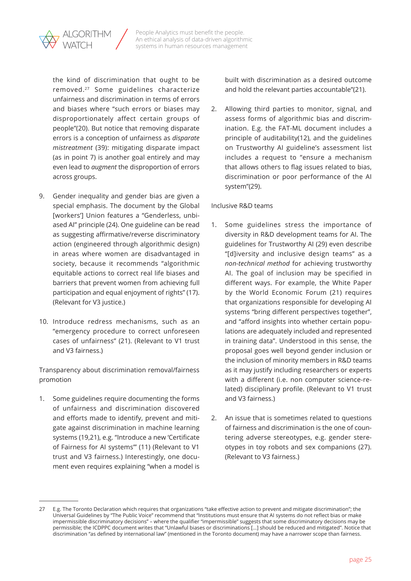

the kind of discrimination that ought to be removed.27 Some guidelines characterize unfairness and discrimination in terms of errors and biases where "such errors or biases may disproportionately affect certain groups of people"(20). But notice that removing disparate errors is a conception of unfairness as *disparate mistreatment* (39): mitigating disparate impact (as in point 7) is another goal entirely and may even lead to *augment* the disproportion of errors across groups.

- 9. Gender inequality and gender bias are given a special emphasis. The document by the Global [workers'] Union features a "Genderless, unbiased AI" principle (24). One guideline can be read as suggesting affirmative/reverse discriminatory action (engineered through algorithmic design) in areas where women are disadvantaged in society, because it recommends "algorithmic equitable actions to correct real life biases and barriers that prevent women from achieving full participation and equal enjoyment of rights" (17). (Relevant for V3 justice.)
- 10. Introduce redress mechanisms, such as an "emergency procedure to correct unforeseen cases of unfairness" (21). (Relevant to V1 trust and V3 fairness.)

Transparency about discrimination removal/fairness promotion

1. Some guidelines require documenting the forms of unfairness and discrimination discovered and efforts made to identify, prevent and mitigate against discrimination in machine learning systems (19,21), e.g. "Introduce a new 'Certificate of Fairness for AI systems'" (11) (Relevant to V1 trust and V3 fairness.) Interestingly, one document even requires explaining "when a model is built with discrimination as a desired outcome and hold the relevant parties accountable"(21).

2. Allowing third parties to monitor, signal, and assess forms of algorithmic bias and discrimination. E.g. the FAT-ML document includes a principle of auditability(12), and the guidelines on Trustworthy AI guideline's assessment list includes a request to "ensure a mechanism that allows others to flag issues related to bias, discrimination or poor performance of the AI system"(29).

#### Inclusive R&D teams

- 1. Some guidelines stress the importance of diversity in R&D development teams for AI. The guidelines for Trustworthy AI (29) even describe "[d]iversity and inclusive design teams" as a *non-technical method* for achieving trustworthy AI. The goal of inclusion may be specified in different ways. For example, the White Paper by the World Economic Forum (21) requires that organizations responsible for developing AI systems "bring different perspectives together", and "afford insights into whether certain populations are adequately included and represented in training data". Understood in this sense, the proposal goes well beyond gender inclusion or the inclusion of minority members in R&D teams as it may justify including researchers or experts with a different (i.e. non computer science-related) disciplinary profile. (Relevant to V1 trust and V3 fairness.)
- 2. An issue that is sometimes related to questions of fairness and discrimination is the one of countering adverse stereotypes, e.g. gender stereotypes in toy robots and sex companions (27). (Relevant to V3 fairness.)

<sup>27</sup> E.g. The Toronto Declaration which requires that organizations "take effective action to prevent and mitigate discrimination"; the Universal Guidelines by "The Public Voice" recommend that "Institutions must ensure that AI systems do not reflect bias or make impermissible discriminatory decisions" – where the qualifier "impermissible" suggests that some discriminatory decisions may be permissible; the ICDPPC document writes that "Unlawful biases or discriminations […] should be reduced and mitigated". Notice that discrimination "as defined by international law" (mentioned in the Toronto document) may have a narrower scope than fairness.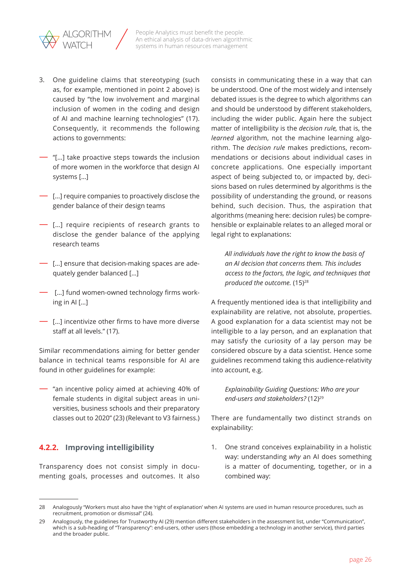<span id="page-25-0"></span>

- 3. One guideline claims that stereotyping (such as, for example, mentioned in point 2 above) is caused by "the low involvement and marginal inclusion of women in the coding and design of AI and machine learning technologies" (17). Consequently, it recommends the following actions to governments:
- "[…] take proactive steps towards the inclusion of more women in the workforce that design AI systems […]
- […] require companies to proactively disclose the gender balance of their design teams
- […] require recipients of research grants to disclose the gender balance of the applying research teams
- […] ensure that decision-making spaces are adequately gender balanced […]
- […] fund women-owned technology firms working in AI […]
- […] incentivize other firms to have more diverse staff at all levels." (17).

Similar recommendations aiming for better gender balance in technical teams responsible for AI are found in other guidelines for example:

— "an incentive policy aimed at achieving 40% of female students in digital subject areas in universities, business schools and their preparatory classes out to 2020" (23) (Relevant to V3 fairness.)

## **4.2.2. Improving intelligibility**

Transparency does not consist simply in documenting goals, processes and outcomes. It also consists in communicating these in a way that can be understood. One of the most widely and intensely debated issues is the degree to which algorithms can and should be understood by different stakeholders, including the wider public. Again here the subject matter of intelligibility is the *decision rule,* that is, the *learned* algorithm, not the machine learning algorithm. The *decision rule* makes predictions, recommendations or decisions about individual cases in concrete applications. One especially important aspect of being subjected to, or impacted by, decisions based on rules determined by algorithms is the possibility of understanding the ground, or reasons behind, such decision. Thus, the aspiration that algorithms (meaning here: decision rules) be comprehensible or explainable relates to an alleged moral or legal right to explanations:

*All individuals have the right to know the basis of an AI decision that concerns them. This includes access to the factors, the logic, and techniques that produced the outcome.* (15)<sup>28</sup>

A frequently mentioned idea is that intelligibility and explainability are relative, not absolute, properties. A good explanation for a data scientist may not be intelligible to a lay person, and an explanation that may satisfy the curiosity of a lay person may be considered obscure by a data scientist. Hence some guidelines recommend taking this audience-relativity into account, e.g.

*Explainability Guiding Questions: Who are your*  end-users and stakeholders? (12)<sup>29</sup>

There are fundamentally two distinct strands on explainability:

1. One strand conceives explainability in a holistic way: understanding *why* an AI does something is a matter of documenting, together, or in a combined way:

<sup>28</sup> Analogously "Workers must also have the 'right of explanation' when AI systems are used in human resource procedures, such as recruitment, promotion or dismissal" (24).

<sup>29</sup> Analogously, the guidelines for Trustworthy AI (29) mention different stakeholders in the assessment list, under "Communication", which is a sub-heading of "Transparency": end-users, other users (those embedding a technology in another service), third parties and the broader public.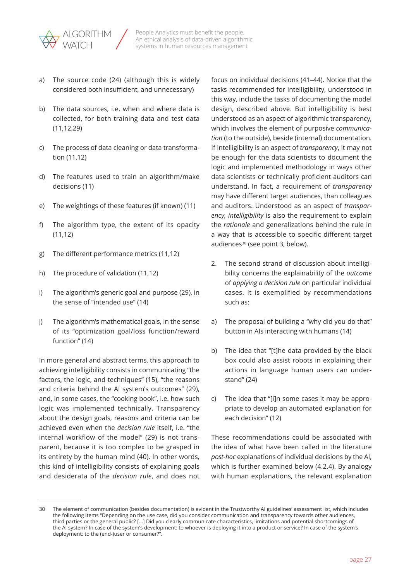

- a) The source code (24) (although this is widely considered both insufficient, and unnecessary)
- b) The data sources, i.e. when and where data is collected, for both training data and test data (11,12,29)
- c) The process of data cleaning or data transformation (11,12)
- d) The features used to train an algorithm/make decisions (11)
- e) The weightings of these features (if known) (11)
- f) The algorithm type, the extent of its opacity (11,12)
- g) The different performance metrics (11,12)
- h) The procedure of validation (11,12)
- i) The algorithm's generic goal and purpose (29), in the sense of "intended use" (14)
- j) The algorithm's mathematical goals, in the sense of its "optimization goal/loss function/reward function" (14)

In more general and abstract terms, this approach to achieving intelligibility consists in communicating "the factors, the logic, and techniques" (15), "the reasons and criteria behind the AI system's outcomes" (29), and, in some cases, the "cooking book", i.e. how such logic was implemented technically. Transparency about the design goals, reasons and criteria can be achieved even when the *decision rule* itself, i.e. "the internal workflow of the model" (29) is not transparent, because it is too complex to be grasped in its entirety by the human mind (40). In other words, this kind of intelligibility consists of explaining goals and desiderata of the *decision rule*, and does not focus on individual decisions (41–44). Notice that the tasks recommended for intelligibility, understood in this way, include the tasks of documenting the model design, described above. But intelligibility is best understood as an aspect of algorithmic transparency, which involves the element of purposive *communication* (to the outside), beside (internal) documentation. If intelligibility is an aspect of *transparency*, it may not be enough for the data scientists to document the logic and implemented methodology in ways other data scientists or technically proficient auditors can understand. In fact, a requirement of *transparency*  may have different target audiences, than colleagues and auditors. Understood as an aspect of *transparency, intelligibility* is also the requirement to explain the *rationale* and generalizations behind the rule in a way that is accessible to specific different target audiences<sup>30</sup> (see point 3, below).

- 2. The second strand of discussion about intelligibility concerns the explainability of the *outcome*  of *applying a decision rule* on particular individual cases. It is exemplified by recommendations such as:
- a) The proposal of building a "why did you do that" button in AIs interacting with humans (14)
- b) The idea that "[t]he data provided by the black box could also assist robots in explaining their actions in language human users can understand" (24)
- c) The idea that "[i]n some cases it may be appropriate to develop an automated explanation for each decision" (12)

These recommendations could be associated with the idea of what have been called in the literature *post-hoc* explanations of individual decisions by the AI, which is further examined below (4.2.4). By analogy with human explanations, the relevant explanation

<sup>30</sup> The element of communication (besides documentation) is evident in the Trustworthy AI guidelines' assessment list, which includes the following items "Depending on the use case, did you consider communication and transparency towards other audiences, third parties or the general public? […] Did you clearly communicate characteristics, limitations and potential shortcomings of the AI system? In case of the system's development: to whoever is deploying it into a product or service? In case of the system's deployment: to the (end-)user or consumer?".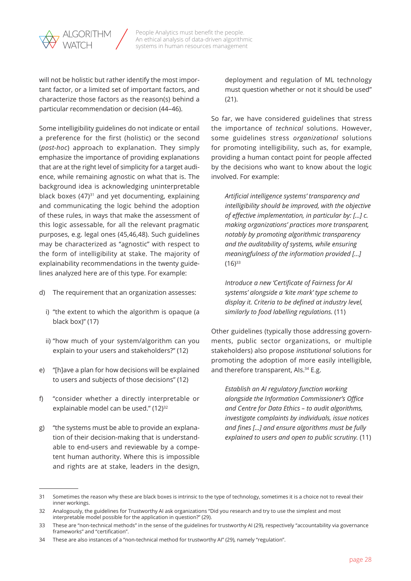

will not be holistic but rather identify the most important factor, or a limited set of important factors, and characterize those factors as the reason(s) behind a particular recommendation or decision (44–46).

Some intelligibility guidelines do not indicate or entail a preference for the first (holistic) or the second (*post-hoc*) approach to explanation. They simply emphasize the importance of providing explanations that are at the right level of simplicity for a target audience, while remaining agnostic on what that is. The background idea is acknowledging uninterpretable black boxes  $(47)^{31}$  and yet documenting, explaining and communicating the logic behind the adoption of these rules, in ways that make the assessment of this logic assessable, for all the relevant pragmatic purposes, e.g. legal ones (45,46,48). Such guidelines may be characterized as "agnostic" with respect to the form of intelligibility at stake. The majority of explainability recommendations in the twenty guidelines analyzed here are of this type. For example:

- d) The requirement that an organization assesses:
	- i) "the extent to which the algorithm is opaque (a black box)" (17)
	- ii) "how much of your system/algorithm can you explain to your users and stakeholders?" (12)
- e) "[h]ave a plan for how decisions will be explained to users and subjects of those decisions" (12)
- f) "consider whether a directly interpretable or explainable model can be used." (12)<sup>32</sup>
- g) "the systems must be able to provide an explanation of their decision-making that is understandable to end-users and reviewable by a competent human authority. Where this is impossible and rights are at stake, leaders in the design,

deployment and regulation of ML technology must question whether or not it should be used" (21).

So far, we have considered guidelines that stress the importance of *technical* solutions. However, some guidelines stress *organizational* solutions for promoting intelligibility, such as, for example, providing a human contact point for people affected by the decisions who want to know about the logic involved. For example:

*Artificial intelligence systems' transparency and intelligibility should be improved, with the objective of effective implementation, in particular by: […] c. making organizations' practices more transparent, notably by promoting algorithmic transparency and the auditability of systems, while ensuring meaningfulness of the information provided […]*   $(16)$ <sup>33</sup>

*Introduce a new 'Certificate of Fairness for AI systems' alongside a 'kite mark' type scheme to display it. Criteria to be defined at industry level, similarly to food labelling regulations.* (11)

Other guidelines (typically those addressing governments, public sector organizations, or multiple stakeholders) also propose *institutional* solutions for promoting the adoption of more easily intelligible, and therefore transparent, Als.<sup>34</sup> E.g.

*Establish an AI regulatory function working alongside the Information Commissioner's Office and Centre for Data Ethics – to audit algorithms, investigate complaints by individuals, issue notices and fines […] and ensure algorithms must be fully explained to users and open to public scrutiny.* (11)

<sup>31</sup> Sometimes the reason why these are black boxes is intrinsic to the type of technology, sometimes it is a choice not to reveal their inner workings.

<sup>32</sup> Analogously, the guidelines for Trustworthy AI ask organizations "Did you research and try to use the simplest and most interpretable model possible for the application in question?" (29).

<sup>33</sup> These are "non-technical methods" in the sense of the guidelines for trustworthy AI (29), respectively "accountability via governance frameworks" and "certification".

<sup>34</sup> These are also instances of a "non-technical method for trustworthy AI" (29), namely "regulation".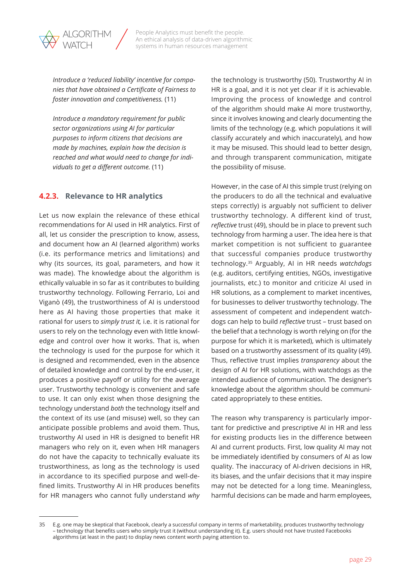<span id="page-28-0"></span>*Introduce a 'reduced liability' incentive for companies that have obtained a Certificate of Fairness to foster innovation and competitiveness.* (11)

People Analytics must benefit the people. An ethical analysis of data-driven algorithmic systems in human resources management

*Introduce a mandatory requirement for public sector organizations using AI for particular purposes to inform citizens that decisions are made by machines, explain how the decision is reached and what would need to change for individuals to get a different outcome.* (11)

### **4.2.3. Relevance to HR analytics**

Let us now explain the relevance of these ethical recommendations for AI used in HR analytics. First of all, let us consider the prescription to know, assess, and document how an AI (learned algorithm) works (i.e. its performance metrics and limitations) and why (its sources, its goal, parameters, and how it was made). The knowledge about the algorithm is ethically valuable in so far as it contributes to building trustworthy technology. Following Ferrario, Loi and Viganò (49), the trustworthiness of AI is understood here as AI having those properties that make it rational for users to *simply trust it,* i.e. it is rational for users to rely on the technology even with little knowledge and control over how it works. That is, when the technology is used for the purpose for which it is designed and recommended, even in the absence of detailed knowledge and control by the end-user, it produces a positive payoff or utility for the average user. Trustworthy technology is convenient and safe to use. It can only exist when those designing the technology understand *both* the technology itself and the context of its use (and misuse) well, so they can anticipate possible problems and avoid them. Thus, trustworthy AI used in HR is designed to benefit HR managers who rely on it, even when HR managers do not have the capacity to technically evaluate its trustworthiness, as long as the technology is used in accordance to its specified purpose and well-defined limits. Trustworthy AI in HR produces benefits for HR managers who cannot fully understand *why*  the technology is trustworthy (50). Trustworthy AI in HR is a goal, and it is not yet clear if it is achievable. Improving the process of knowledge and control of the algorithm should make AI more trustworthy, since it involves knowing and clearly documenting the limits of the technology (e.g. which populations it will classify accurately and which inaccurately), and how it may be misused. This should lead to better design, and through transparent communication, mitigate the possibility of misuse.

However, in the case of AI this simple trust (relying on the producers to do all the technical and evaluative steps correctly) is arguably not sufficient to deliver trustworthy technology. A different kind of trust, *reflective* trust (49), should be in place to prevent such technology from harming a user. The idea here is that market competition is not sufficient to guarantee that successful companies produce trustworthy technology.35 Arguably, AI in HR needs *watchdogs*  (e.g. auditors, certifying entities, NGOs, investigative journalists, etc.) to monitor and criticize AI used in HR solutions, as a complement to market incentives, for businesses to deliver trustworthy technology. The assessment of competent and independent watchdogs can help to build *reflective* trust – trust based on the belief that a technology is worth relying on (for the purpose for which it is marketed), which is ultimately based on a trustworthy assessment of its quality (49). Thus, reflective trust implies *transparency* about the design of AI for HR solutions, with watchdogs as the intended audience of communication*.* The designer's knowledge about the algorithm should be communicated appropriately to these entities.

The reason why transparency is particularly important for predictive and prescriptive AI in HR and less for existing products lies in the difference between AI and current products. First, low quality AI may not be immediately identified by consumers of AI as low quality. The inaccuracy of AI-driven decisions in HR, its biases, and the unfair decisions that it may inspire may not be detected for a long time. Meaningless, harmful decisions can be made and harm employees,

<sup>35</sup> E.g. one may be skeptical that Facebook, clearly a successful company in terms of marketability, produces trustworthy technology – technology that benefits users who simply trust it (without understanding it). E.g. users should not have trusted Facebooks algorithms (at least in the past) to display news content worth paying attention to.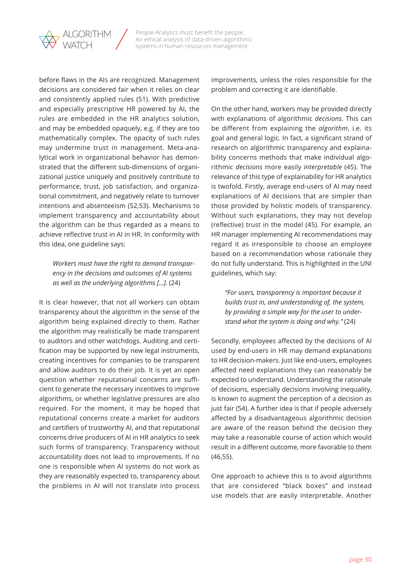

before flaws in the AIs are recognized. Management decisions are considered fair when it relies on clear and consistently applied rules (51). With predictive and especially prescriptive HR powered by AI, the rules are embedded in the HR analytics solution, and may be embedded opaquely, e.g. if they are too mathematically complex. The opacity of such rules may undermine trust in management. Meta-analytical work in organizational behavior has demonstrated that the different sub-dimensions of organizational justice uniquely and positively contribute to performance, trust, job satisfaction, and organizational commitment, and negatively relate to turnover intentions and absenteeism (52,53). Mechanisms to implement transparency and accountability about the algorithm can be thus regarded as a means to achieve reflective trust in AI in HR. In conformity with this idea, one guideline says:

### *Workers must have the right to demand transparency in the decisions and outcomes of AI systems as well as the underlying algorithms […].* (24)

It is clear however, that not all workers can obtain transparency about the algorithm in the sense of the algorithm being explained directly to them. Rather the algorithm may realistically be made transparent to auditors and other watchdogs. Auditing and certification may be supported by new legal instruments, creating incentives for companies to be transparent and allow auditors to do their job. It is yet an open question whether reputational concerns are sufficient to generate the necessary incentives to improve algorithms, or whether legislative pressures are also required. For the moment, it may be hoped that reputational concerns create a market for auditors and certifiers of trustworthy AI, and that reputational concerns drive producers of AI in HR analytics to seek such forms of transparency. Transparency without accountability does not lead to improvements. If no one is responsible when AI systems do not work as they are reasonably expected to, transparency about the problems in AI will not translate into process improvements, unless the roles responsible for the problem and correcting it are identifiable.

On the other hand, workers may be provided directly with explanations of algorithmic *decisions*. This can be different from explaining the *algorithm*, i.e. its goal and general logic*.* In fact, a significant strand of research on algorithmic transparency and explainability concerns methods that make individual algorithmic *decisions* more easily *interpretable* (45). The relevance of this type of explainability for HR analytics is twofold. Firstly, average end-users of AI may need explanations of AI decisions that are simpler than those provided by holistic models of transparency. Without such explanations, they may not develop (reflective) trust in the model (45). For example, an HR manager implementing AI recommendations may regard it as irresponsible to choose an employee based on a recommendation whose rationale they do not fully understand. This is highlighted in the UNI guidelines, which say:

*"For users, transparency is important because it builds trust in, and understanding of, the system, by providing a simple way for the user to understand what the system is doing and why."* (24)

Secondly, employees affected by the decisions of AI used by end-users in HR may demand explanations to HR decision-makers. Just like end-users, employees affected need explanations they can reasonably be expected to understand. Understanding the rationale of decisions, especially decisions involving inequality, is known to augment the perception of a decision as just fair (54). A further idea is that if people adversely affected by a disadvantageous algorithmic decision are aware of the reason behind the decision they may take a reasonable course of action which would result in a different outcome, more favorable to them (46,55).

One approach to achieve this is to avoid algorithms that are considered "black boxes" and instead use models that are easily interpretable. Another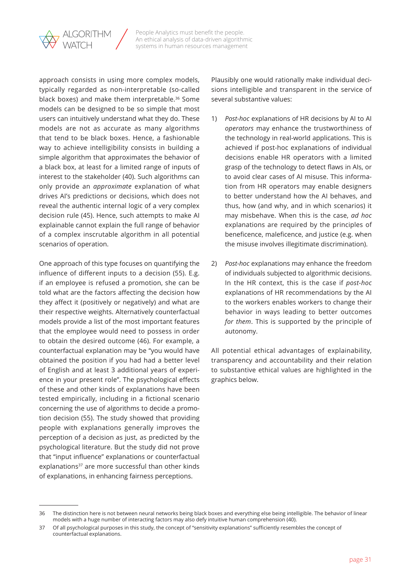

approach consists in using more complex models, typically regarded as non-interpretable (so-called black boxes) and make them interpretable.<sup>36</sup> Some models can be designed to be so simple that most users can intuitively understand what they do. These models are not as accurate as many algorithms that tend to be black boxes. Hence, a fashionable way to achieve intelligibility consists in building a simple algorithm that approximates the behavior of a black box, at least for a limited range of inputs of interest to the stakeholder (40). Such algorithms can only provide an *approximate* explanation of what drives AI's predictions or decisions, which does not reveal the authentic internal logic of a very complex decision rule (45). Hence, such attempts to make AI explainable cannot explain the full range of behavior of a complex inscrutable algorithm in all potential scenarios of operation.

One approach of this type focuses on quantifying the influence of different inputs to a decision (55). E.g. if an employee is refused a promotion, she can be told what are the factors affecting the decision how they affect it (positively or negatively) and what are their respective weights. Alternatively counterfactual models provide a list of the most important features that the employee would need to possess in order to obtain the desired outcome (46). For example, a counterfactual explanation may be "you would have obtained the position if you had had a better level of English and at least 3 additional years of experience in your present role". The psychological effects of these and other kinds of explanations have been tested empirically, including in a fictional scenario concerning the use of algorithms to decide a promotion decision (55). The study showed that providing people with explanations generally improves the perception of a decision as just, as predicted by the psychological literature. But the study did not prove that "input influence" explanations or counterfactual explanations<sup>37</sup> are more successful than other kinds of explanations, in enhancing fairness perceptions.

Plausibly one would rationally make individual decisions intelligible and transparent in the service of several substantive values:

- 1) *Post-hoc* explanations of HR decisions by AI to AI *operators* may enhance the trustworthiness of the technology in real-world applications. This is achieved if post-hoc explanations of individual decisions enable HR operators with a limited grasp of the technology to detect flaws in AIs, or to avoid clear cases of AI misuse. This information from HR operators may enable designers to better understand how the AI behaves, and thus, how (and why, and in which scenarios) it may misbehave. When this is the case, *ad hoc*  explanations are required by the principles of beneficence, maleficence, and justice (e.g. when the misuse involves illegitimate discrimination).
- 2) *Post-hoc* explanations may enhance the freedom of individuals subjected to algorithmic decisions. In the HR context, this is the case if *post-hoc*  explanations of HR recommendations by the AI to the workers enables workers to change their behavior in ways leading to better outcomes *for them*. This is supported by the principle of autonomy.

All potential ethical advantages of explainability, transparency and accountability and their relation to substantive ethical values are highlighted in the graphics below.

<sup>36</sup> The distinction here is not between neural networks being black boxes and everything else being intelligible. The behavior of linear models with a huge number of interacting factors may also defy intuitive human comprehension (40).

<sup>37</sup> Of all psychological purposes in this study, the concept of "sensitivity explanations" sufficiently resembles the concept of counterfactual explanations.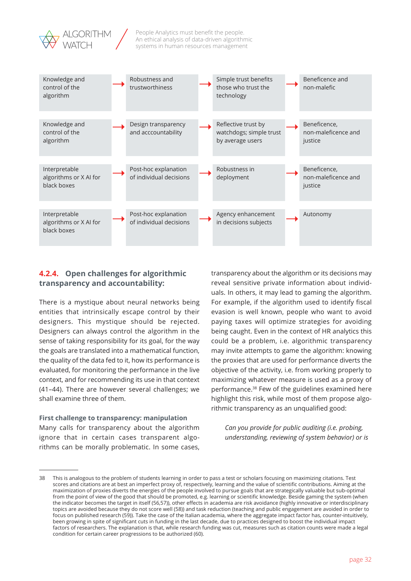<span id="page-31-0"></span>



## **4.2.4. Open challenges for algorithmic transparency and accountability:**

There is a mystique about neural networks being entities that intrinsically escape control by their designers. This mystique should be rejected. Designers can always control the algorithm in the sense of taking responsibility for its goal, for the way the goals are translated into a mathematical function, the quality of the data fed to it, how its performance is evaluated, for monitoring the performance in the live context, and for recommending its use in that context (41–44). There are however several challenges; we shall examine three of them.

#### **First challenge to transparency: manipulation**

Many calls for transparency about the algorithm ignore that in certain cases transparent algorithms can be morally problematic. In some cases,

transparency about the algorithm or its decisions may reveal sensitive private information about individuals. In others, it may lead to gaming the algorithm. For example, if the algorithm used to identify fiscal evasion is well known, people who want to avoid paying taxes will optimize strategies for avoiding being caught. Even in the context of HR analytics this could be a problem, i.e. algorithmic transparency may invite attempts to game the algorithm: knowing the proxies that are used for performance diverts the objective of the activity, i.e. from working properly to maximizing whatever measure is used as a proxy of performance.38 Few of the guidelines examined here highlight this risk, while most of them propose algorithmic transparency as an unqualified good:

*Can you provide for public auditing (i.e. probing, understanding, reviewing of system behavior) or is* 

<sup>38</sup> This is analogous to the problem of students learning in order to pass a test or scholars focusing on maximizing citations. Test scores and citations are at best an imperfect proxy of, respectively, learning and the value of scientific contributions. Aiming at the maximization of proxies diverts the energies of the people involved to pursue goals that are strategically valuable but sub-optimal from the point of view of the good that should be promoted, e.g. learning or scientific knowledge. Beside gaming the system (when the indicator becomes the target in itself (56,57)), other effects in academia are risk avoidance (highly innovative or interdisciplinary topics are avoided because they do not score well (58)) and task reduction (teaching and public engagement are avoided in order to focus on published research (59)). Take the case of the Italian academia, where the aggregate impact factor has, counter-intuitively, been growing in spite of significant cuts in funding in the last decade, due to practices designed to boost the individual impact factors of researchers. The explanation is that, while research funding was cut, measures such as citation counts were made a legal condition for certain career progressions to be authorized (60).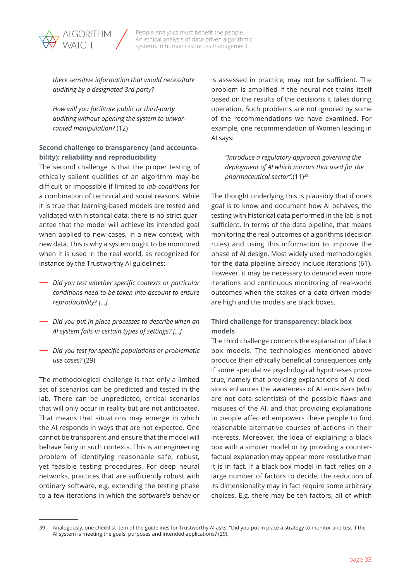

*there sensitive information that would necessitate auditing by a designated 3rd party?*

*How will you facilitate public or third-party auditing without opening the system to unwarranted manipulation?* (12)

#### **Second challenge to transparency (and accountability): reliability and reproducibility**

The second challenge is that the proper testing of ethically salient qualities of an algorithm may be difficult or impossible if limited to *lab conditions* for a combination of technical and social reasons. While it is true that learning-based models are tested and validated with historical data, there is no strict guarantee that the model will achieve its intended goal when applied to new cases, in a new context, with new data. This is why a system ought to be monitored when it is used in the real world, as recognized for instance by the Trustworthy AI guidelines:

- *Did you test whether specific contexts or particular conditions need to be taken into account to ensure reproducibility? […]*
- *Did you put in place processes to describe when an AI system fails in certain types of settings? […]*
- *Did you test for specific populations or problematic use cases?* (29)

The methodological challenge is that only a limited set of scenarios can be predicted and tested in the lab. There can be unpredicted, critical scenarios that will only occur in reality but are not anticipated. That means that situations may emerge in which the AI responds in ways that are not expected. One cannot be transparent and ensure that the model will behave fairly in such contexts. This is an engineering problem of identifying reasonable safe, robust, yet feasible testing procedures. For deep neural networks, practices that are sufficiently robust with ordinary software, e.g. extending the testing phase to a few iterations in which the software's behavior is assessed in practice, may not be sufficient. The problem is amplified if the neural net trains itself based on the results of the decisions it takes during operation. Such problems are not ignored by some of the recommendations we have examined. For example, one recommendation of Women leading in AI says:

*"Introduce a regulatory approach governing the deployment of AI which mirrors that used for the pharmaceutical sector".*(11)39

The thought underlying this is plausibly that if one's goal is to know and document how AI behaves, the testing with historical data performed in the lab is not sufficient. In terms of the data pipeline, that means monitoring the real outcomes of algorithms (decision rules) and using this information to improve the phase of AI design. Most widely used methodologies for the data pipeline already include iterations (61). However, it may be necessary to demand even more iterations and continuous monitoring of real-world outcomes when the stakes of a data-driven model are high and the models are black boxes.

### **Third challenge for transparency: black box models**

The third challenge concerns the explanation of black box models. The technologies mentioned above produce their ethically beneficial consequences only if some speculative psychological hypotheses prove true, namely that providing explanations of AI decisions enhances the awareness of AI end-users (who are not data scientists) of the possible flaws and misuses of the AI, and that providing explanations to people affected empowers these people to find reasonable alternative courses of actions in their interests. Moreover, the idea of explaining a black box with a simpler model or by providing a counterfactual explanation may appear more resolutive than it is in fact. If a black-box model in fact relies on a large number of factors to decide, the reduction of its dimensionality may in fact require some arbitrary choices. E.g. there may be ten factors, all of which

<sup>39</sup> Analogously, one checklist item of the guidelines for Trustworthy AI asks: "Did you put in place a strategy to monitor and test if the AI system is meeting the goals, purposes and intended applications? (29).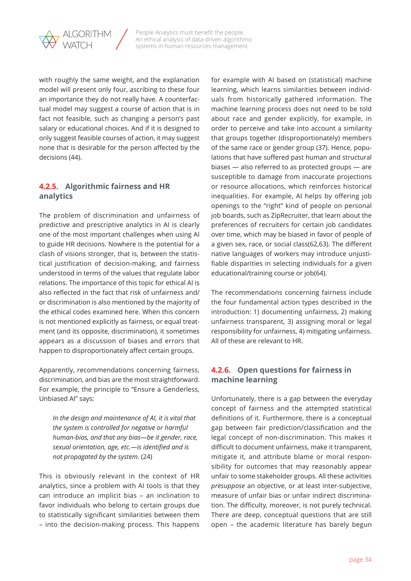<span id="page-33-0"></span>

with roughly the same weight, and the explanation model will present only four, ascribing to these four an importance they do not really have. A counterfactual model may suggest a course of action that is in fact not feasible, such as changing a person's past salary or educational choices. And if it is designed to only suggest feasible courses of action, it may suggest none that is desirable for the person affected by the decisions (44).

### **4.2.5. Algorithmic fairness and HR analytics**

The problem of discrimination and unfairness of predictive and prescriptive analytics in AI is clearly one of the most important challenges when using AI to guide HR decisions. Nowhere is the potential for a clash of visions stronger, that is, between the statistical justification of decision-making, and fairness understood in terms of the values that regulate labor relations. The importance of this topic for ethical AI is also reflected in the fact that risk of unfairness and/ or discrimination is also mentioned by the majority of the ethical codes examined here. When this concern is not mentioned explicitly as fairness, or equal treatment (and its opposite, discrimination), it sometimes appears as a discussion of biases and errors that happen to disproportionately affect certain groups.

Apparently, recommendations concerning fairness, discrimination, and bias are the most straightforward. For example, the principle to "Ensure a Genderless, Unbiased AI" says:

*In the design and maintenance of AI, it is vital that the system is controlled for negative or harmful human-bias, and that any bias—be it gender, race, sexual orientation, age, etc.—is identified and is not propagated by the system.* (24)

This is obviously relevant in the context of HR analytics, since a problem with AI tools is that they can introduce an implicit bias – an inclination to favor individuals who belong to certain groups due to statistically significant similarities between them – into the decision-making process. This happens

for example with AI based on (statistical) machine learning, which learns similarities between individuals from historically gathered information. The machine learning process does not need to be told about race and gender explicitly, for example, in order to perceive and take into account a similarity that groups together (disproportionately) members of the same race or gender group (37). Hence, populations that have suffered past human and structural biases — also referred to as protected groups — are susceptible to damage from inaccurate projections or resource allocations, which reinforces historical inequalities. For example, AI helps by offering job openings to the "right" kind of people on personal job boards, such as ZipRecruiter, that learn about the preferences of recruiters for certain job candidates over time, which may be biased in favor of people of a given sex, race, or social class(62,63). The different native languages of workers may introduce unjustifiable disparities in selecting individuals for a given educational/training course or job(64).

The recommendations concerning fairness include the four fundamental action types described in the introduction: 1) documenting unfairness, 2) making unfairness transparent, 3) assigning moral or legal responsibility for unfairness, 4) mitigating unfairness. All of these are relevant to HR.

## **4.2.6. Open questions for fairness in machine learning**

Unfortunately, there is a gap between the everyday concept of fairness and the attempted statistical definitions of it. Furthermore, there is a conceptual gap between fair prediction/classification and the legal concept of non-discrimination. This makes it difficult to document unfairness, make it transparent, mitigate it, and attribute blame or moral responsibility for outcomes that may reasonably appear unfair to some stakeholder groups. All these activities *presuppose* an objective, or at least inter-subjective, measure of unfair bias or unfair indirect discrimination. The difficulty, moreover, is not purely technical. There are deep, conceptual questions that are still open – the academic literature has barely begun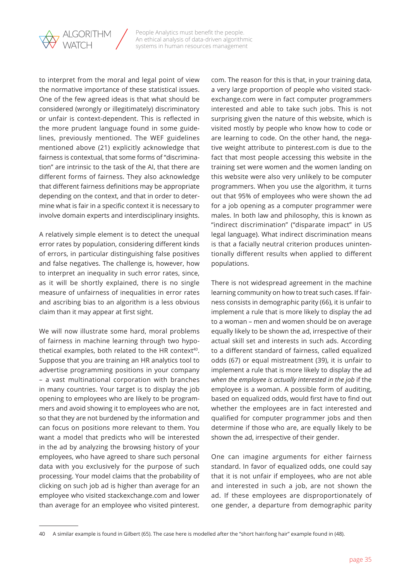

to interpret from the moral and legal point of view the normative importance of these statistical issues. One of the few agreed ideas is that what should be considered (wrongly or illegitimately) discriminatory or unfair is context-dependent. This is reflected in the more prudent language found in some guidelines, previously mentioned. The WEF guidelines mentioned above (21) explicitly acknowledge that fairness is contextual, that some forms of "discrimination" are intrinsic to the task of the AI, that there are different forms of fairness. They also acknowledge that different fairness definitions may be appropriate depending on the context, and that in order to determine what is fair in a specific context it is necessary to involve domain experts and interdisciplinary insights.

A relatively simple element is to detect the unequal error rates by population, considering different kinds of errors, in particular distinguishing false positives and false negatives. The challenge is, however, how to interpret an inequality in such error rates, since, as it will be shortly explained, there is no single measure of unfairness of inequalities in error rates and ascribing bias to an algorithm is a less obvious claim than it may appear at first sight.

We will now illustrate some hard, moral problems of fairness in machine learning through two hypothetical examples, both related to the HR context<sup>40</sup>. Suppose that you are training an HR analytics tool to advertise programming positions in your company – a vast multinational corporation with branches in many countries. Your target is to display the job opening to employees who are likely to be programmers and avoid showing it to employees who are not, so that they are not burdened by the information and can focus on positions more relevant to them. You want a model that predicts who will be interested in the ad by analyzing the browsing history of your employees, who have agreed to share such personal data with you exclusively for the purpose of such processing. Your model claims that the probability of clicking on such job ad is higher than average for an employee who visited stackexchange.com and lower than average for an employee who visited pinterest.

com. The reason for this is that, in your training data, a very large proportion of people who visited stackexchange.com were in fact computer programmers interested and able to take such jobs. This is not surprising given the nature of this website, which is visited mostly by people who know how to code or are learning to code. On the other hand, the negative weight attribute to pinterest.com is due to the fact that most people accessing this website in the training set were women and the women landing on this website were also very unlikely to be computer programmers. When you use the algorithm, it turns out that 95% of employees who were shown the ad for a job opening as a computer programmer were males. In both law and philosophy, this is known as "indirect discrimination" ("disparate impact" in US legal language). What indirect discrimination means is that a facially neutral criterion produces unintentionally different results when applied to different populations.

There is not widespread agreement in the machine learning community on how to treat such cases. If fairness consists in demographic parity (66), it is unfair to implement a rule that is more likely to display the ad to a woman – men and women should be on average equally likely to be shown the ad, irrespective of their actual skill set and interests in such ads. According to a different standard of fairness, called equalized odds (67) or equal mistreatment (39), it is unfair to implement a rule that is more likely to display the ad *when the employee is actually interested in the job* if the employee is a woman. A possible form of auditing, based on equalized odds, would first have to find out whether the employees are in fact interested and qualified for computer programmer jobs and then determine if those who are, are equally likely to be shown the ad, irrespective of their gender.

One can imagine arguments for either fairness standard. In favor of equalized odds, one could say that it is not unfair if employees, who are not able and interested in such a job, are not shown the ad. If these employees are disproportionately of one gender, a departure from demographic parity

<sup>40</sup> A similar example is found in Gilbert (65). The case here is modelled after the "short hair/long hair" example found in (48).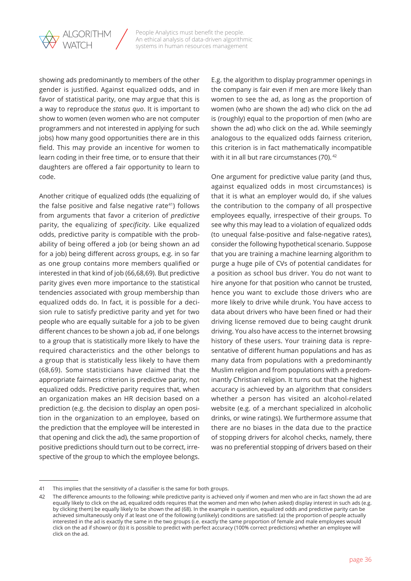

showing ads predominantly to members of the other gender is justified. Against equalized odds, and in favor of statistical parity, one may argue that this is a way to reproduce the *status quo*. It is important to show to women (even women who are not computer programmers and not interested in applying for such jobs) how many good opportunities there are in this field. This may provide an incentive for women to learn coding in their free time, or to ensure that their daughters are offered a fair opportunity to learn to code.

Another critique of equalized odds (the equalizing of the false positive and false negative rate<sup>41</sup>) follows from arguments that favor a criterion of *predictive* parity, the equalizing of *specificity*. Like equalized odds, predictive parity is compatible with the probability of being offered a job (or being shown an ad for a job) being different across groups, e.g. in so far as one group contains more members qualified or interested in that kind of job (66,68,69). But predictive parity gives even more importance to the statistical tendencies associated with group membership than equalized odds do. In fact, it is possible for a decision rule to satisfy predictive parity and yet for two people who are equally suitable for a job to be given different chances to be shown a job ad, if one belongs to a group that is statistically more likely to have the required characteristics and the other belongs to a group that is statistically less likely to have them (68,69). Some statisticians have claimed that the appropriate fairness criterion is predictive parity, not equalized odds. Predictive parity requires that, when an organization makes an HR decision based on a prediction (e.g. the decision to display an open position in the organization to an employee, based on the prediction that the employee will be interested in that opening and click the ad), the same proportion of positive predictions should turn out to be correct, irrespective of the group to which the employee belongs.

E.g. the algorithm to display programmer openings in the company is fair even if men are more likely than women to see the ad, as long as the proportion of women (who are shown the ad) who click on the ad is (roughly) equal to the proportion of men (who are shown the ad) who click on the ad. While seemingly analogous to the equalized odds fairness criterion, this criterion is in fact mathematically incompatible with it in all but rare circumstances (70). <sup>42</sup>

One argument for predictive value parity (and thus, against equalized odds in most circumstances) is that it is what an employer would do, if she values the contribution to the company of all prospective employees equally, irrespective of their groups. To see why this may lead to a violation of equalized odds (to unequal false-positive and false-negative rates), consider the following hypothetical scenario. Suppose that you are training a machine learning algorithm to purge a huge pile of CVs of potential candidates for a position as school bus driver. You do not want to hire anyone for that position who cannot be trusted, hence you want to exclude those drivers who are more likely to drive while drunk. You have access to data about drivers who have been fined or had their driving license removed due to being caught drunk driving. You also have access to the internet browsing history of these users. Your training data is representative of different human populations and has as many data from populations with a predominantly Muslim religion and from populations with a predominantly Christian religion. It turns out that the highest accuracy is achieved by an algorithm that considers whether a person has visited an alcohol-related website (e.g. of a merchant specialized in alcoholic drinks, or wine ratings). We furthermore assume that there are no biases in the data due to the practice of stopping drivers for alcohol checks, namely, there was no preferential stopping of drivers based on their

<sup>41</sup> This implies that the sensitivity of a classifier is the same for both groups.

<sup>42</sup> The difference amounts to the following: while predictive parity is achieved only if women and men who are in fact shown the ad are equally likely to click on the ad, equalized odds requires that the women and men who (when asked) display interest in such ads (e.g. by clicking them) be equally likely to be shown the ad (68). In the example in question, equalized odds and predictive parity can be achieved simultaneously only if at least one of the following (unlikely) conditions are satisfied: (a) the proportion of people actually interested in the ad is exactly the same in the two groups (i.e. exactly the same proportion of female and male employees would click on the ad if shown) or (b) it is possible to predict with perfect accuracy (100% correct predictions) whether an employee will click on the ad.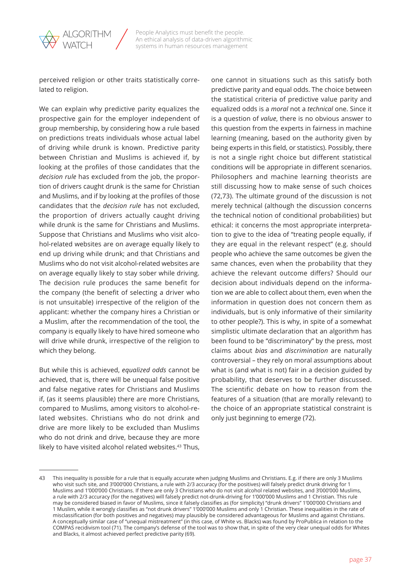

perceived religion or other traits statistically correlated to religion.

We can explain why predictive parity equalizes the prospective gain for the employer independent of group membership, by considering how a rule based on predictions treats individuals whose actual label of driving while drunk is known. Predictive parity between Christian and Muslims is achieved if, by looking at the profiles of those candidates that the *decision rule* has excluded from the job, the proportion of drivers caught drunk is the same for Christian and Muslims, and if by looking at the profiles of those candidates that the *decision rule* has not excluded, the proportion of drivers actually caught driving while drunk is the same for Christians and Muslims. Suppose that Christians and Muslims who visit alcohol-related websites are on average equally likely to end up driving while drunk; and that Christians and Muslims who do not visit alcohol-related websites are on average equally likely to stay sober while driving. The decision rule produces the same benefit for the company (the benefit of selecting a driver who is not unsuitable) irrespective of the religion of the applicant: whether the company hires a Christian or a Muslim, after the recommendation of the tool, the company is equally likely to have hired someone who will drive while drunk, irrespective of the religion to which they belong.

But while this is achieved, *equalized odds* cannot be achieved, that is, there will be unequal false positive and false negative rates for Christians and Muslims if, (as it seems plausible) there are more Christians, compared to Muslims, among visitors to alcohol-related websites. Christians who do not drink and drive are more likely to be excluded than Muslims who do not drink and drive, because they are more likely to have visited alcohol related websites.<sup>43</sup> Thus,

one cannot in situations such as this satisfy both predictive parity and equal odds. The choice between the statistical criteria of predictive value parity and equalized odds is a *moral* not a *technical* one. Since it is a question of *value*, there is no obvious answer to this question from the experts in fairness in machine learning (meaning, based on the authority given by being experts in this field, or statistics). Possibly, there is not a single right choice but different statistical conditions will be appropriate in different scenarios. Philosophers and machine learning theorists are still discussing how to make sense of such choices (72,73). The ultimate ground of the discussion is not merely technical (although the discussion concerns the technical notion of conditional probabilities) but ethical: it concerns the most appropriate interpretation to give to the idea of "treating people equally, if they are equal in the relevant respect" (e.g. should people who achieve the same outcomes be given the same chances, even when the probability that they achieve the relevant outcome differs? Should our decision about individuals depend on the information we are able to collect about them, even when the information in question does not concern them as individuals, but is only informative of their similarity to other people?). This is why, in spite of a somewhat simplistic ultimate declaration that an algorithm has been found to be "discriminatory" by the press, most claims about *bias* and *discrimination* are naturally controversial – they rely on moral assumptions about what is (and what is not) fair in a decision guided by probability, that deserves to be further discussed. The scientific debate on how to reason from the features of a situation (that are morally relevant) to the choice of an appropriate statistical constraint is only just beginning to emerge (72).

<sup>43</sup> This inequality is possible for a rule that is equally accurate when judging Muslims and Christians. E.g. if there are only 3 Muslims who visit such site, and 3'000'000 Christians, a rule with 2/3 accuracy (for the positives) will falsely predict drunk driving for 1 Muslims and 1'000'000 Christians. If there are only 3 Christians who do not visit alcohol related websites, and 3'000'000 Muslims, a rule with 2/3 accuracy (for the negatives) will falsely predict not-drunk-driving for 1'000'000 Muslims and 1 Christian. This rule may be considered biased in favor of Muslims, since it falsely classifies as (for simplicity) "drunk drivers" 1'000'000 Christians and 1 Muslim, while it wrongly classifies as "not drunk drivers" 1'000'000 Muslims and only 1 Christian. These inequalities in the rate of misclassification (for both positives and negatives) may plausibly be considered advantageous for Muslims and against Christians. A conceptually similar case of "unequal mistreatment" (in this case, of White vs. Blacks) was found by ProPublica in relation to the COMPAS recidivism tool (71). The company's defense of the tool was to show that, in spite of the very clear unequal odds for Whites and Blacks, it almost achieved perfect predictive parity (69).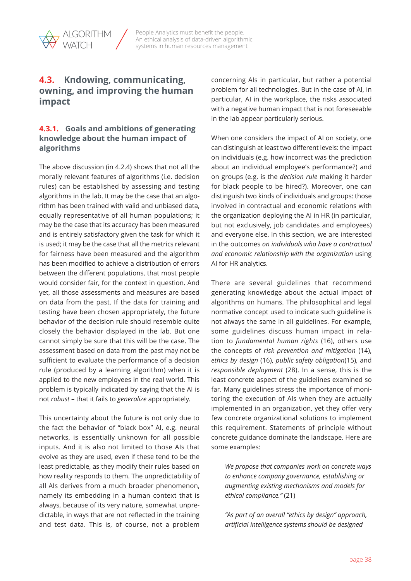<span id="page-37-0"></span>

## **4.3. Kndowing, communicating, owning, and improving the human impact**

### **4.3.1. Goals and ambitions of generating knowledge about the human impact of algorithms**

The above discussion (in 4.2.4) shows that not all the morally relevant features of algorithms (i.e. decision rules) can be established by assessing and testing algorithms in the lab. It may be the case that an algorithm has been trained with valid and unbiased data, equally representative of all human populations; it may be the case that its accuracy has been measured and is entirely satisfactory given the task for which it is used; it may be the case that all the metrics relevant for fairness have been measured and the algorithm has been modified to achieve a distribution of errors between the different populations, that most people would consider fair, for the context in question. And yet, all those assessments and measures are based on data from the past. If the data for training and testing have been chosen appropriately, the future behavior of the decision rule should resemble quite closely the behavior displayed in the lab. But one cannot simply be sure that this will be the case. The assessment based on data from the past may not be sufficient to evaluate the performance of a decision rule (produced by a learning algorithm) when it is applied to the new employees in the real world. This problem is typically indicated by saying that the AI is not *robust* – that it fails to *generalize* appropriately*.*

This uncertainty about the future is not only due to the fact the behavior of "black box" AI, e.g. neural networks, is essentially unknown for all possible inputs. And it is also not limited to those AIs that evolve as they are used, even if these tend to be the least predictable, as they modify their rules based on how reality responds to them. The unpredictability of all AIs derives from a much broader phenomenon, namely its embedding in a human context that is always, because of its very nature, somewhat unpredictable, in ways that are not reflected in the training and test data. This is, of course, not a problem

concerning AIs in particular, but rather a potential problem for all technologies. But in the case of AI, in particular, AI in the workplace, the risks associated with a negative human impact that is not foreseeable in the lab appear particularly serious.

When one considers the impact of AI on society, one can distinguish at least two different levels: the impact on individuals (e.g. how incorrect was the prediction about an individual employee's performance?) and on groups (e.g. is the *decision rule* making it harder for black people to be hired?). Moreover, one can distinguish two kinds of individuals and groups: those involved in contractual and economic relations with the organization deploying the AI in HR (in particular, but not exclusively, job candidates and employees) and everyone else. In this section, we are interested in the outcomes *on individuals who have a contractual and economic relationship with the organization* using AI for HR analytics.

There are several guidelines that recommend generating knowledge about the actual impact of algorithms on humans. The philosophical and legal normative concept used to indicate such guideline is not always the same in all guidelines. For example, some guidelines discuss human impact in relation to *fundamental human rights* (16), others use the concepts of *risk prevention and mitigation* (14), *ethics by design* (16), *public safety obligation*(15), and *responsible deployment* (28). In a sense, this is the least concrete aspect of the guidelines examined so far. Many guidelines stress the importance of monitoring the execution of AIs when they are actually implemented in an organization, yet they offer very few concrete organizational solutions to implement this requirement. Statements of principle without concrete guidance dominate the landscape. Here are some examples:

*We propose that companies work on concrete ways to enhance company governance, establishing or augmenting existing mechanisms and models for ethical compliance."* (21)

*"As part of an overall "ethics by design" approach, artificial intelligence systems should be designed*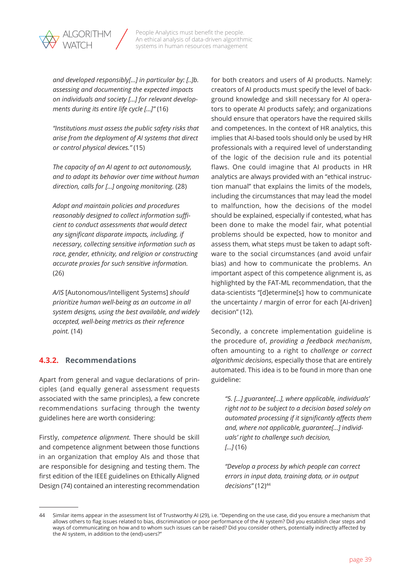<span id="page-38-0"></span>

*and developed responsibly[…] in particular by: [..]b. assessing and documenting the expected impacts on individuals and society […] for relevant developments during its entire life cycle […]"* (16)

*"Institutions must assess the public safety risks that arise from the deployment of AI systems that direct or control physical devices."* (15)

*The capacity of an AI agent to act autonomously, and to adapt its behavior over time without human direction, calls for […] ongoing monitoring.* (28)

*Adopt and maintain policies and procedures reasonably designed to collect information sufficient to conduct assessments that would detect any significant disparate impacts, including, if necessary, collecting sensitive information such as race, gender, ethnicity, and religion or constructing accurate proxies for such sensitive information.*  (26)

*A/IS* [Autonomous/Intelligent Systems] *should prioritize human well-being as an outcome in all system designs, using the best available, and widely accepted, well-being metrics as their reference point.* (14)

## **4.3.2. Recommendations**

Apart from general and vague declarations of principles (and equally general assessment requests associated with the same principles), a few concrete recommendations surfacing through the twenty guidelines here are worth considering:

Firstly, *competence alignment.* There should be skill and competence alignment between those functions in an organization that employ AIs and those that are responsible for designing and testing them. The first edition of the IEEE guidelines on Ethically Aligned Design (74) contained an interesting recommendation for both creators and users of AI products. Namely: creators of AI products must specify the level of background knowledge and skill necessary for AI operators to operate AI products safely; and organizations should ensure that operators have the required skills and competences. In the context of HR analytics, this implies that AI-based tools should only be used by HR professionals with a required level of understanding of the logic of the decision rule and its potential flaws. One could imagine that AI products in HR analytics are always provided with an "ethical instruction manual" that explains the limits of the models, including the circumstances that may lead the model to malfunction, how the decisions of the model should be explained, especially if contested, what has been done to make the model fair, what potential problems should be expected, how to monitor and assess them, what steps must be taken to adapt software to the social circumstances (and avoid unfair bias) and how to communicate the problems. An important aspect of this competence alignment is, as highlighted by the FAT-ML recommendation, that the data-scientists "[d]etermine[s] how to communicate the uncertainty / margin of error for each [AI-driven] decision" (12).

Secondly, a concrete implementation guideline is the procedure of, *providing a feedback mechanism*, often amounting to a right to *challenge or correct algorithmic decisions*, especially those that are entirely automated. This idea is to be found in more than one guideline:

*"5. […] guarantee[…], where applicable, individuals' right not to be subject to a decision based solely on automated processing if it significantly affects them and, where not applicable, guarantee[…] individuals' right to challenge such decision, […]* (16)

*"Develop a process by which people can correct errors in input data, training data, or in output decisions"* (12)44

<sup>44</sup> Similar items appear in the assessment list of Trustworthy AI (29), i.e. "Depending on the use case, did you ensure a mechanism that allows others to flag issues related to bias, discrimination or poor performance of the AI system? Did you establish clear steps and ways of communicating on how and to whom such issues can be raised? Did you consider others, potentially indirectly affected by the AI system, in addition to the (end)-users?"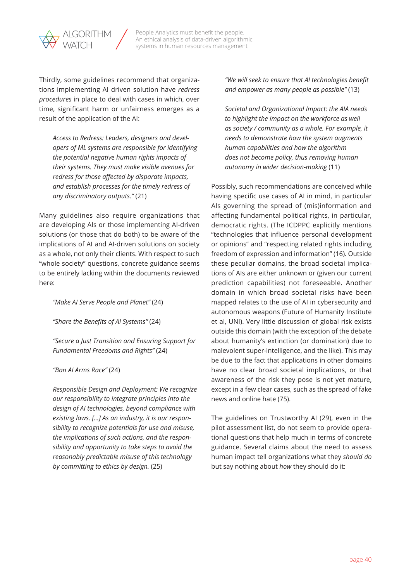

Thirdly, some guidelines recommend that organizations implementing AI driven solution have *redress procedures* in place to deal with cases in which, over time, significant harm or unfairness emerges as a result of the application of the AI:

*Access to Redress: Leaders, designers and developers of ML systems are responsible for identifying the potential negative human rights impacts of their systems. They must make visible avenues for redress for those affected by disparate impacts, and establish processes for the timely redress of any discriminatory outputs."* (21)

Many guidelines also require organizations that are developing AIs or those implementing AI-driven solutions (or those that do both) to be aware of the implications of AI and AI-driven solutions on society as a whole, not only their clients. With respect to such "whole society" questions, concrete guidance seems to be entirely lacking within the documents reviewed here:

*"Make AI Serve People and Planet"* (24)

*"Share the Benefits of AI Systems"* (24)

*"Secure a Just Transition and Ensuring Support for Fundamental Freedoms and Rights"* (24)

*"Ban AI Arms Race"* (24)

*Responsible Design and Deployment: We recognize our responsibility to integrate principles into the design of AI technologies, beyond compliance with existing laws. […] As an industry, it is our responsibility to recognize potentials for use and misuse, the implications of such actions, and the responsibility and opportunity to take steps to avoid the reasonably predictable misuse of this technology by committing to ethics by design.* (25)

*"We will seek to ensure that AI technologies benefit and empower as many people as possible"* (13)

*Societal and Organizational Impact: the AIA needs to highlight the impact on the workforce as well as society / community as a whole. For example, it needs to demonstrate how the system augments human capabilities and how the algorithm does not become policy, thus removing human autonomy in wider decision-making* (11)

Possibly, such recommendations are conceived while having specific use cases of AI in mind, in particular AIs governing the spread of (mis)information and affecting fundamental political rights, in particular, democratic rights. (The ICDPPC explicitly mentions "technologies that influence personal development or opinions" and "respecting related rights including freedom of expression and information" (16). Outside these peculiar domains, the broad societal implications of AIs are either unknown or (given our current prediction capabilities) not foreseeable. Another domain in which broad societal risks have been mapped relates to the use of AI in cybersecurity and autonomous weapons (Future of Humanity Institute et al, UNI). Very little discussion of global risk exists outside this domain (with the exception of the debate about humanity's extinction (or domination) due to malevolent super-intelligence, and the like). This may be due to the fact that applications in other domains have no clear broad societal implications, or that awareness of the risk they pose is not yet mature, except in a few clear cases, such as the spread of fake news and online hate (75).

The guidelines on Trustworthy AI (29), even in the pilot assessment list, do not seem to provide operational questions that help much in terms of concrete guidance. Several claims about the need to assess human impact tell organizations what they *should do*  but say nothing about *how* they should do it: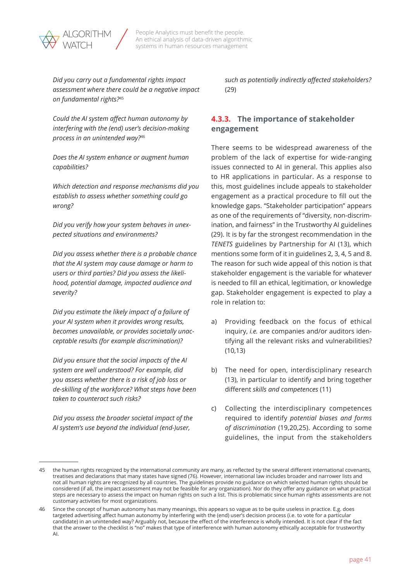<span id="page-40-0"></span>

*Did you carry out a fundamental rights impact assessment where there could be a negative impact on fundamental rights?*<sup>45</sup>

*Could the AI system affect human autonomy by interfering with the (end) user's decision-making process in an unintended way?*<sup>46</sup>

*Does the AI system enhance or augment human capabilities?*

*Which detection and response mechanisms did you establish to assess whether something could go wrong?* 

*Did you verify how your system behaves in unexpected situations and environments?* 

*Did you assess whether there is a probable chance that the AI system may cause damage or harm to users or third parties? Did you assess the likelihood, potential damage, impacted audience and severity?* 

*Did you estimate the likely impact of a failure of your AI system when it provides wrong results, becomes unavailable, or provides societally unacceptable results (for example discrimination)?* 

*Did you ensure that the social impacts of the AI system are well understood? For example, did you assess whether there is a risk of job loss or de-skilling of the workforce? What steps have been taken to counteract such risks?* 

*Did you assess the broader societal impact of the AI system's use beyond the individual (end-)user,* 

*such as potentially indirectly affected stakeholders?*  (29)

## **4.3.3. The importance of stakeholder engagement**

There seems to be widespread awareness of the problem of the lack of expertise for wide-ranging issues connected to AI in general. This applies also to HR applications in particular. As a response to this, most guidelines include appeals to stakeholder engagement as a practical procedure to fill out the knowledge gaps. "Stakeholder participation" appears as one of the requirements of "diversity, non-discrimination, and fairness" in the Trustworthy AI guidelines (29). It is by far the strongest recommendation in the *TENETS* guidelines by Partnership for AI (13), which mentions some form of it in guidelines 2, 3, 4, 5 and 8. The reason for such wide appeal of this notion is that stakeholder engagement is the variable for whatever is needed to fill an ethical, legitimation, or knowledge gap. Stakeholder engagement is expected to play a role in relation to:

- a) Providing feedback on the focus of ethical inquiry, *i.e.* are companies and/or auditors identifying all the relevant risks and vulnerabilities? (10,13)
- b) The need for open, interdisciplinary research (13), in particular to identify and bring together different *skills and competences* (11)
- c) Collecting the interdisciplinary competences required to identify *potential biases and forms of discrimination* (19,20,25). According to some guidelines, the input from the stakeholders

<sup>45</sup> the human rights recognized by the international community are many, as reflected by the several different international covenants, treatises and declarations that many states have signed (76). However, international law includes broader and narrower lists and not all human rights are recognized by all countries. The guidelines provide no guidance on which selected human rights should be considered (if all, the impact assessment may not be feasible for any organization). Nor do they offer any guidance on what practical steps are necessary to assess the impact on human rights on such a list. This is problematic since human rights assessments are not customary activities for most organizations.

Since the concept of human autonomy has many meanings, this appears so vague as to be quite useless in practice. E.g. does targeted advertising affect human autonomy by interfering with the (end) user's decision process (i.e. to vote for a particular candidate) in an unintended way? Arguably not, because the effect of the interference is wholly intended. It is not clear if the fact that the answer to the checklist is "no" makes that type of interference with human autonomy ethically acceptable for trustworthy AI.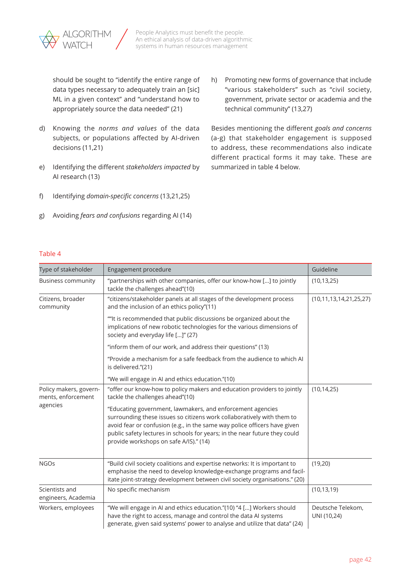

should be sought to "identify the entire range of data types necessary to adequately train an [sic] ML in a given context" and "understand how to appropriately source the data needed" (21)

- d) Knowing the *norms and values* of the data subjects, or populations affected by AI-driven decisions (11,21)
- e) Identifying the different *stakeholders impacted* by AI research (13)
- f) Identifying *domain-specific concerns* (13,21,25)
- g) Avoiding *fears and confusions* regarding AI (14)

h) Promoting new forms of governance that include "various stakeholders" such as "civil society, government, private sector or academia and the technical community" (13,27)

Besides mentioning the different *goals and concerns*  (a-g) that stakeholder engagement is supposed to address, these recommendations also indicate different practical forms it may take. These are summarized in table 4 below.

#### Table 4

| Type of stakeholder                          | Engagement procedure                                                                                                                                                                                                                                                                                                                      | Guideline                        |
|----------------------------------------------|-------------------------------------------------------------------------------------------------------------------------------------------------------------------------------------------------------------------------------------------------------------------------------------------------------------------------------------------|----------------------------------|
| <b>Business community</b>                    | "partnerships with other companies, offer our know-how [] to jointly<br>tackle the challenges ahead"(10)                                                                                                                                                                                                                                  | (10, 13, 25)                     |
| Citizens, broader<br>community               | "citizens/stakeholder panels at all stages of the development process<br>and the inclusion of an ethics policy"(11)                                                                                                                                                                                                                       | (10, 11, 13, 14, 21, 25, 27)     |
|                                              | ""It is recommended that public discussions be organized about the<br>implications of new robotic technologies for the various dimensions of<br>society and everyday life []" (27)                                                                                                                                                        |                                  |
|                                              | "inform them of our work, and address their questions" (13)                                                                                                                                                                                                                                                                               |                                  |
|                                              | "Provide a mechanism for a safe feedback from the audience to which AI<br>is delivered."(21)                                                                                                                                                                                                                                              |                                  |
|                                              | "We will engage in AI and ethics education."(10)                                                                                                                                                                                                                                                                                          |                                  |
| Policy makers, govern-<br>ments, enforcement | "offer our know-how to policy makers and education providers to jointly<br>tackle the challenges ahead"(10)                                                                                                                                                                                                                               | (10, 14, 25)                     |
| agencies                                     | "Educating government, lawmakers, and enforcement agencies<br>surrounding these issues so citizens work collaboratively with them to<br>avoid fear or confusion (e.g., in the same way police officers have given<br>public safety lectures in schools for years; in the near future they could<br>provide workshops on safe A/IS)." (14) |                                  |
| <b>NGOs</b>                                  | "Build civil society coalitions and expertise networks: It is important to<br>emphasise the need to develop knowledge-exchange programs and facil-<br>itate joint-strategy development between civil society organisations." (20)                                                                                                         | (19,20)                          |
| Scientists and<br>engineers, Academia        | No specific mechanism                                                                                                                                                                                                                                                                                                                     | (10, 13, 19)                     |
| Workers, employees                           | "We will engage in AI and ethics education."(10) "4 [] Workers should<br>have the right to access, manage and control the data AI systems<br>generate, given said systems' power to analyse and utilize that data" (24)                                                                                                                   | Deutsche Telekom,<br>UNI (10,24) |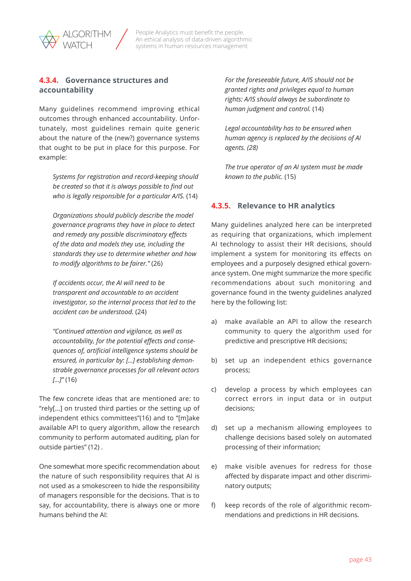## <span id="page-42-0"></span>**4.3.4. Governance structures and accountability**

Many guidelines recommend improving ethical outcomes through enhanced accountability. Unfortunately, most guidelines remain quite generic about the nature of the (new?) governance systems that ought to be put in place for this purpose. For example:

*Systems for registration and record-keeping should be created so that it is always possible to find out who is legally responsible for a particular A/IS.* (14)

*Organizations should publicly describe the model governance programs they have in place to detect and remedy any possible discriminatory effects of the data and models they use, including the standards they use to determine whether and how to modify algorithms to be fairer."* (26)

*If accidents occur, the AI will need to be transparent and accountable to an accident investigator, so the internal process that led to the accident can be understood.* (24)

*"Continued attention and vigilance, as well as accountability, for the potential effects and consequences of, artificial intelligence systems should be ensured, in particular by: […] establishing demonstrable governance processes for all relevant actors […]"* (16)

The few concrete ideas that are mentioned are: to "rely[…] on trusted third parties or the setting up of independent ethics committees"(16) and to "[m]ake available API to query algorithm, allow the research community to perform automated auditing, plan for outside parties" (12) .

One somewhat more specific recommendation about the nature of such responsibility requires that AI is not used as a smokescreen to hide the responsibility of managers responsible for the decisions. That is to say, for accountability, there is always one or more humans behind the AI:

*For the foreseeable future, A/IS should not be granted rights and privileges equal to human rights: A/IS should always be subordinate to human judgment and control.* (14)

*Legal accountability has to be ensured when human agency is replaced by the decisions of AI agents. (28)*

*The true operator of an AI system must be made known to the public.* (15)

## **4.3.5. Relevance to HR analytics**

Many guidelines analyzed here can be interpreted as requiring that organizations, which implement AI technology to assist their HR decisions, should implement a system for monitoring its effects on employees and a purposely designed ethical governance system. One might summarize the more specific recommendations about such monitoring and governance found in the twenty guidelines analyzed here by the following list:

- a) make available an API to allow the research community to query the algorithm used for predictive and prescriptive HR decisions;
- b) set up an independent ethics governance process;
- c) develop a process by which employees can correct errors in input data or in output decisions;
- d) set up a mechanism allowing employees to challenge decisions based solely on automated processing of their information;
- e) make visible avenues for redress for those affected by disparate impact and other discriminatory outputs;
- f) keep records of the role of algorithmic recommendations and predictions in HR decisions.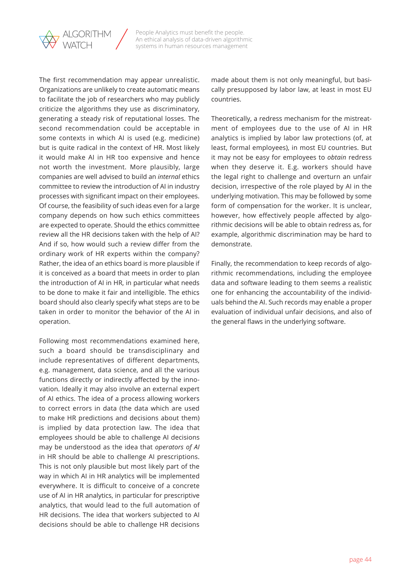

The first recommendation may appear unrealistic. Organizations are unlikely to create automatic means to facilitate the job of researchers who may publicly criticize the algorithms they use as discriminatory, generating a steady risk of reputational losses. The second recommendation could be acceptable in some contexts in which AI is used (e.g. medicine) but is quite radical in the context of HR. Most likely it would make AI in HR too expensive and hence not worth the investment. More plausibly, large companies are well advised to build an *internal* ethics committee to review the introduction of AI in industry processes with significant impact on their employees. Of course, the feasibility of such ideas even for a large company depends on how such ethics committees are expected to operate. Should the ethics committee review all the HR decisions taken with the help of AI? And if so, how would such a review differ from the ordinary work of HR experts within the company? Rather, the idea of an ethics board is more plausible if it is conceived as a board that meets in order to plan the introduction of AI in HR, in particular what needs to be done to make it fair and intelligible. The ethics board should also clearly specify what steps are to be taken in order to monitor the behavior of the AI in operation.

Following most recommendations examined here, such a board should be transdisciplinary and include representatives of different departments, e.g. management, data science, and all the various functions directly or indirectly affected by the innovation. Ideally it may also involve an external expert of AI ethics. The idea of a process allowing workers to correct errors in data (the data which are used to make HR predictions and decisions about them) is implied by data protection law. The idea that employees should be able to challenge AI decisions may be understood as the idea that *operators of AI*  in HR should be able to challenge AI prescriptions. This is not only plausible but most likely part of the way in which AI in HR analytics will be implemented everywhere. It is difficult to conceive of a concrete use of AI in HR analytics, in particular for prescriptive analytics, that would lead to the full automation of HR decisions. The idea that workers subjected to AI decisions should be able to challenge HR decisions

made about them is not only meaningful, but basically presupposed by labor law, at least in most EU countries.

Theoretically, a redress mechanism for the mistreatment of employees due to the use of AI in HR analytics is implied by labor law protections (of, at least, formal employees), in most EU countries. But it may not be easy for employees to *obtain* redress when they deserve it. E.g. workers should have the legal right to challenge and overturn an unfair decision, irrespective of the role played by AI in the underlying motivation. This may be followed by some form of compensation for the worker. It is unclear, however, how effectively people affected by algorithmic decisions will be able to obtain redress as, for example, algorithmic discrimination may be hard to demonstrate.

Finally, the recommendation to keep records of algorithmic recommendations, including the employee data and software leading to them seems a realistic one for enhancing the accountability of the individuals behind the AI. Such records may enable a proper evaluation of individual unfair decisions, and also of the general flaws in the underlying software.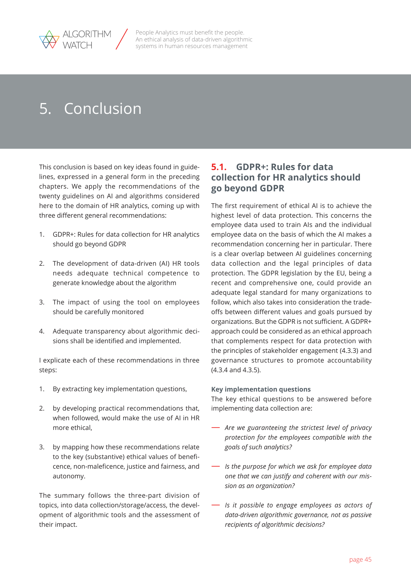<span id="page-44-0"></span>

# 5. Conclusion

This conclusion is based on key ideas found in guidelines, expressed in a general form in the preceding chapters. We apply the recommendations of the twenty guidelines on AI and algorithms considered here to the domain of HR analytics, coming up with three different general recommendations:

- 1. GDPR+: Rules for data collection for HR analytics should go beyond GDPR
- 2. The development of data-driven (AI) HR tools needs adequate technical competence to generate knowledge about the algorithm
- 3. The impact of using the tool on employees should be carefully monitored
- 4. Adequate transparency about algorithmic decisions shall be identified and implemented.

I explicate each of these recommendations in three steps:

- 1. By extracting key implementation questions,
- 2. by developing practical recommendations that, when followed, would make the use of AI in HR more ethical,
- 3. by mapping how these recommendations relate to the key (substantive) ethical values of beneficence, non-maleficence, justice and fairness, and autonomy.

The summary follows the three-part division of topics, into data collection/storage/access, the development of algorithmic tools and the assessment of their impact.

## **5.1. GDPR+: Rules for data collection for HR analytics should go beyond GDPR**

The first requirement of ethical AI is to achieve the highest level of data protection. This concerns the employee data used to train AIs and the individual employee data on the basis of which the AI makes a recommendation concerning her in particular. There is a clear overlap between AI guidelines concerning data collection and the legal principles of data protection. The GDPR legislation by the EU, being a recent and comprehensive one, could provide an adequate legal standard for many organizations to follow, which also takes into consideration the tradeoffs between different values and goals pursued by organizations. But the GDPR is not sufficient. A GDPR+ approach could be considered as an ethical approach that complements respect for data protection with the principles of stakeholder engagement (4.3.3) and governance structures to promote accountability (4.3.4 and 4.3.5).

#### **Key implementation questions**

The key ethical questions to be answered before implementing data collection are:

- *Are we guaranteeing the strictest level of privacy protection for the employees compatible with the goals of such analytics?*
- *Is the purpose for which we ask for employee data one that we can justify and coherent with our mission as an organization?*
- *Is it possible to engage employees as actors of data-driven algorithmic governance, not as passive recipients of algorithmic decisions?*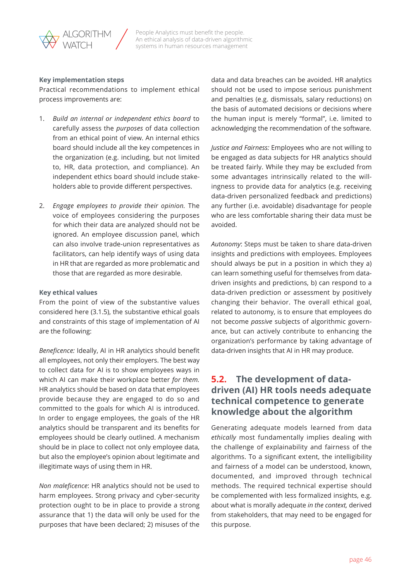<span id="page-45-0"></span>

#### **Key implementation steps**

Practical recommendations to implement ethical process improvements are:

- 1. *Build an internal or independent ethics board* to carefully assess the *purposes* of data collection from an ethical point of view. An internal ethics board should include all the key competences in the organization (e.g. including, but not limited to, HR, data protection, and compliance). An independent ethics board should include stakeholders able to provide different perspectives.
- 2. *Engage employees to provide their opinion.* The voice of employees considering the purposes for which their data are analyzed should not be ignored. An employee discussion panel, which can also involve trade-union representatives as facilitators, can help identify ways of using data in HR that are regarded as more problematic and those that are regarded as more desirable.

#### **Key ethical values**

From the point of view of the substantive values considered here (3.1.5), the substantive ethical goals and constraints of this stage of implementation of AI are the following:

*Beneficence:* Ideally, AI in HR analytics should benefit all employees, not only their employers. The best way to collect data for AI is to show employees ways in which AI can make their workplace better *for them.*  HR analytics should be based on data that employees provide because they are engaged to do so and committed to the goals for which AI is introduced. In order to engage employees, the goals of the HR analytics should be transparent and its benefits for employees should be clearly outlined. A mechanism should be in place to collect not only employee data, but also the employee's opinion about legitimate and illegitimate ways of using them in HR.

*Non maleficence*: HR analytics should not be used to harm employees. Strong privacy and cyber-security protection ought to be in place to provide a strong assurance that 1) the data will only be used for the purposes that have been declared; 2) misuses of the data and data breaches can be avoided. HR analytics should not be used to impose serious punishment and penalties (e.g. dismissals, salary reductions) on the basis of automated decisions or decisions where the human input is merely "formal", i.e. limited to acknowledging the recommendation of the software.

*Justice and Fairness:* Employees who are not willing to be engaged as data subjects for HR analytics should be treated fairly. While they may be excluded from some advantages intrinsically related to the willingness to provide data for analytics (e.g. receiving data-driven personalized feedback and predictions) any further (i.e. avoidable) disadvantage for people who are less comfortable sharing their data must be avoided.

*Autonomy*: Steps must be taken to share data-driven insights and predictions with employees. Employees should always be put in a position in which they a) can learn something useful for themselves from datadriven insights and predictions, b) can respond to a data-driven prediction or assessment by positively changing their behavior. The overall ethical goal, related to autonomy, is to ensure that employees do not become *passive* subjects of algorithmic governance, but can actively contribute to enhancing the organization's performance by taking advantage of data-driven insights that AI in HR may produce.

## **5.2. The development of datadriven (AI) HR tools needs adequate technical competence to generate knowledge about the algorithm**

Generating adequate models learned from data *ethically* most fundamentally implies dealing with the challenge of explainability and fairness of the algorithms. To a significant extent, the intelligibility and fairness of a model can be understood, known, documented, and improved through technical methods. The required technical expertise should be complemented with less formalized insights, e.g. about what is morally adequate *in the context,* derived from stakeholders, that may need to be engaged for this purpose.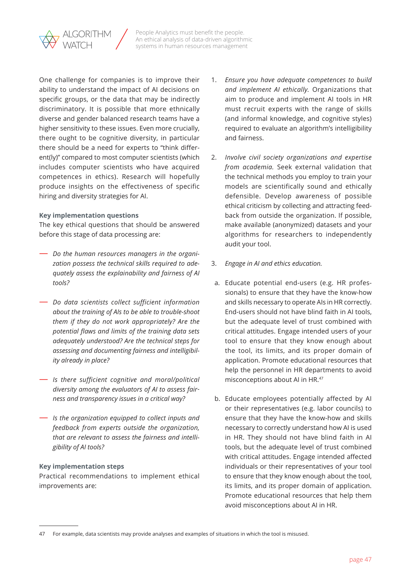

One challenge for companies is to improve their ability to understand the impact of AI decisions on specific groups, or the data that may be indirectly discriminatory. It is possible that more ethnically diverse and gender balanced research teams have a higher sensitivity to these issues. Even more crucially, there ought to be cognitive diversity, in particular there should be a need for experts to "think different(ly)" compared to most computer scientists (which includes computer scientists who have acquired competences in ethics). Research will hopefully produce insights on the effectiveness of specific hiring and diversity strategies for AI.

#### **Key implementation questions**

The key ethical questions that should be answered before this stage of data processing are:

- *Do the human resources managers in the organization possess the technical skills required to adequately assess the explainability and fairness of AI tools?*
- *Do data scientists collect sufficient information about the training of AIs to be able to trouble-shoot them if they do not work appropriately? Are the potential flaws and limits of the training data sets adequately understood? Are the technical steps for assessing and documenting fairness and intelligibility already in place?*
- *Is there sufficient cognitive and moral/political diversity among the evaluators of AI to assess fairness and transparency issues in a critical way?*
- *Is the organization equipped to collect inputs and feedback from experts outside the organization, that are relevant to assess the fairness and intelligibility of AI tools?*

#### **Key implementation steps**

Practical recommendations to implement ethical improvements are:

- 1. *Ensure you have adequate competences to build and implement AI ethically.* Organizations that aim to produce and implement AI tools in HR must recruit experts with the range of skills (and informal knowledge, and cognitive styles) required to evaluate an algorithm's intelligibility and fairness.
- 2. *Involve civil society organizations and expertise from academia.* Seek external validation that the technical methods you employ to train your models are scientifically sound and ethically defensible. Develop awareness of possible ethical criticism by collecting and attracting feedback from outside the organization. If possible, make available (anonymized) datasets and your algorithms for researchers to independently audit your tool.
- 3. *Engage in AI and ethics education.*
- a. Educate potential end-users (e.g. HR professionals) to ensure that they have the know-how and skills necessary to operate AIs in HR correctly. End-users should not have blind faith in AI tools, but the adequate level of trust combined with critical attitudes. Engage intended users of your tool to ensure that they know enough about the tool, its limits, and its proper domain of application. Promote educational resources that help the personnel in HR departments to avoid misconceptions about AI in HR.47
- b. Educate employees potentially affected by AI or their representatives (e.g. labor councils) to ensure that they have the know-how and skills necessary to correctly understand how AI is used in HR. They should not have blind faith in AI tools, but the adequate level of trust combined with critical attitudes. Engage intended affected individuals or their representatives of your tool to ensure that they know enough about the tool, its limits, and its proper domain of application. Promote educational resources that help them avoid misconceptions about AI in HR.

<sup>47</sup> For example, data scientists may provide analyses and examples of situations in which the tool is misused.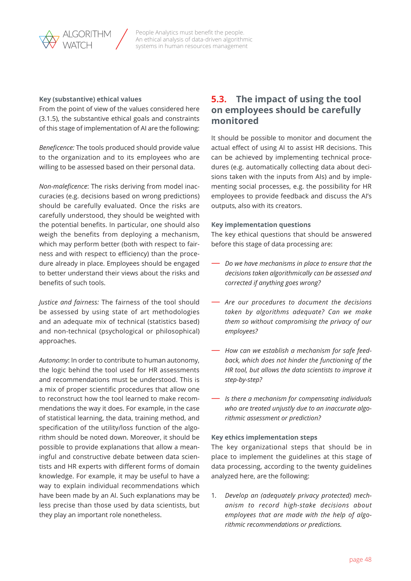#### <span id="page-47-0"></span>**Key (substantive) ethical values**

From the point of view of the values considered here (3.1.5), the substantive ethical goals and constraints of this stage of implementation of AI are the following:

*Beneficence:* The tools produced should provide value to the organization and to its employees who are willing to be assessed based on their personal data.

*Non-maleficence*: The risks deriving from model inaccuracies (e.g. decisions based on wrong predictions) should be carefully evaluated. Once the risks are carefully understood, they should be weighted with the potential benefits. In particular, one should also weigh the benefits from deploying a mechanism, which may perform better (both with respect to fairness and with respect to efficiency) than the procedure already in place. Employees should be engaged to better understand their views about the risks and benefits of such tools.

*Justice and fairness:* The fairness of the tool should be assessed by using state of art methodologies and an adequate mix of technical (statistics based) and non-technical (psychological or philosophical) approaches.

*Autonomy*: In order to contribute to human autonomy, the logic behind the tool used for HR assessments and recommendations must be understood. This is a mix of proper scientific procedures that allow one to reconstruct how the tool learned to make recommendations the way it does. For example, in the case of statistical learning, the data, training method, and specification of the utility/loss function of the algorithm should be noted down. Moreover, it should be possible to provide explanations that allow a meaningful and constructive debate between data scientists and HR experts with different forms of domain knowledge. For example, it may be useful to have a way to explain individual recommendations which have been made by an AI. Such explanations may be less precise than those used by data scientists, but they play an important role nonetheless.

## **5.3. The impact of using the tool on employees should be carefully monitored**

It should be possible to monitor and document the actual effect of using AI to assist HR decisions. This can be achieved by implementing technical procedures (e.g. automatically collecting data about decisions taken with the inputs from AIs) and by implementing social processes, e.g. the possibility for HR employees to provide feedback and discuss the AI's outputs, also with its creators.

#### **Key implementation questions**

The key ethical questions that should be answered before this stage of data processing are:

- *Do we have mechanisms in place to ensure that the decisions taken algorithmically can be assessed and corrected if anything goes wrong?*
- *Are our procedures to document the decisions taken by algorithms adequate? Can we make them so without compromising the privacy of our employees?*
- *How can we establish a mechanism for safe feedback, which does not hinder the functioning of the HR tool, but allows the data scientists to improve it step-by-step?*
- *Is there a mechanism for compensating individuals who are treated unjustly due to an inaccurate algorithmic assessment or prediction?*

#### **Key ethics implementation steps**

The key organizational steps that should be in place to implement the guidelines at this stage of data processing, according to the twenty guidelines analyzed here, are the following:

1*. Develop an (adequately privacy protected) mechanism to record high-stake decisions about employees that are made with the help of algorithmic recommendations or predictions.*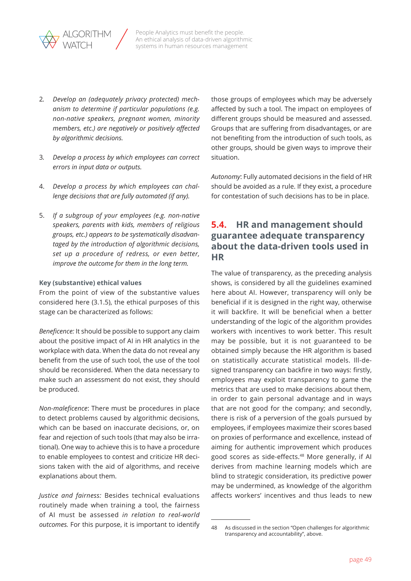<span id="page-48-0"></span>

- 2*. Develop an (adequately privacy protected) mechanism to determine if particular populations (e.g. non-native speakers, pregnant women, minority members, etc.) are negatively or positively affected by algorithmic decisions.*
- 3*. Develop a process by which employees can correct errors in input data or outputs.*
- 4. *Develop a process by which employees can challenge decisions that are fully automated (if any).*
- 5. *If a subgroup of your employees (e.g. non-native speakers, parents with kids, members of religious groups, etc.) appears to be systematically disadvantaged by the introduction of algorithmic decisions, set up a procedure of redress, or even better, improve the outcome for them in the long term.*

#### **Key (substantive) ethical values**

From the point of view of the substantive values considered here (3.1.5), the ethical purposes of this stage can be characterized as follows:

*Beneficence:* It should be possible to support any claim about the positive impact of AI in HR analytics in the workplace with data. When the data do not reveal any benefit from the use of such tool, the use of the tool should be reconsidered. When the data necessary to make such an assessment do not exist, they should be produced.

*Non-maleficence*: There must be procedures in place to detect problems caused by algorithmic decisions, which can be based on inaccurate decisions, or, on fear and rejection of such tools (that may also be irrational). One way to achieve this is to have a procedure to enable employees to contest and criticize HR decisions taken with the aid of algorithms, and receive explanations about them.

*Justice and fairness:* Besides technical evaluations routinely made when training a tool, the fairness of AI must be assessed *in relation to real-world outcomes.* For this purpose, it is important to identify those groups of employees which may be adversely affected by such a tool. The impact on employees of different groups should be measured and assessed. Groups that are suffering from disadvantages, or are not benefiting from the introduction of such tools, as other groups, should be given ways to improve their situation.

*Autonomy*: Fully automated decisions in the field of HR should be avoided as a rule. If they exist, a procedure for contestation of such decisions has to be in place.

## **5.4. HR and management should guarantee adequate transparency about the data-driven tools used in HR**

The value of transparency, as the preceding analysis shows, is considered by all the guidelines examined here about AI. However, transparency will only be beneficial if it is designed in the right way, otherwise it will backfire. It will be beneficial when a better understanding of the logic of the algorithm provides workers with incentives to work better. This result may be possible, but it is not guaranteed to be obtained simply because the HR algorithm is based on statistically accurate statistical models. Ill-designed transparency can backfire in two ways: firstly, employees may exploit transparency to game the metrics that are used to make decisions about them, in order to gain personal advantage and in ways that are not good for the company; and secondly, there is risk of a perversion of the goals pursued by employees, if employees maximize their scores based on proxies of performance and excellence, instead of aiming for authentic improvement which produces good scores as side-effects.48 More generally, if AI derives from machine learning models which are blind to strategic consideration, its predictive power may be undermined, as knowledge of the algorithm affects workers' incentives and thus leads to new

<sup>48</sup> As discussed in the section "Open challenges for algorithmic transparency and accountability", above.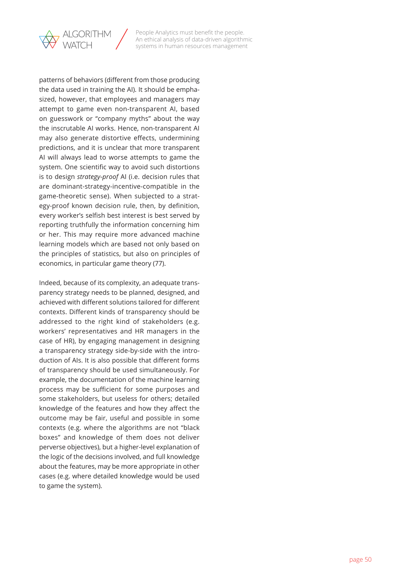

patterns of behaviors (different from those producing the data used in training the AI). It should be emphasized, however, that employees and managers may attempt to game even non-transparent AI, based on guesswork or "company myths" about the way the inscrutable AI works. Hence, non-transparent AI may also generate distortive effects, undermining predictions, and it is unclear that more transparent AI will always lead to worse attempts to game the system. One scientific way to avoid such distortions is to design *strategy-proof* AI (i.e. decision rules that are dominant-strategy-incentive-compatible in the game-theoretic sense). When subjected to a strategy-proof known decision rule, then, by definition, every worker's selfish best interest is best served by reporting truthfully the information concerning him or her. This may require more advanced machine learning models which are based not only based on the principles of statistics, but also on principles of economics, in particular game theory (77).

Indeed, because of its complexity, an adequate transparency strategy needs to be planned, designed, and achieved with different solutions tailored for different contexts. Different kinds of transparency should be addressed to the right kind of stakeholders (e.g. workers' representatives and HR managers in the case of HR), by engaging management in designing a transparency strategy side-by-side with the introduction of AIs. It is also possible that different forms of transparency should be used simultaneously. For example, the documentation of the machine learning process may be sufficient for some purposes and some stakeholders, but useless for others; detailed knowledge of the features and how they affect the outcome may be fair, useful and possible in some contexts (e.g. where the algorithms are not "black boxes" and knowledge of them does not deliver perverse objectives), but a higher-level explanation of the logic of the decisions involved, and full knowledge about the features, may be more appropriate in other cases (e.g. where detailed knowledge would be used to game the system).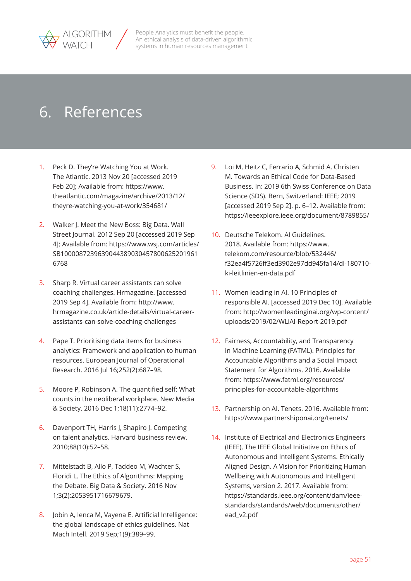<span id="page-50-0"></span>

# 6. References

- 1. Peck D. They're Watching You at Work. The Atlantic. 2013 Nov 20 [accessed 2019 Feb 20]; Available from: [https://www.](https://www.theatlantic.com/magazine/archive/2013/12/theyre-watching-you-at-work/354681/) [theatlantic.com/magazine/archive/2013/12/](https://www.theatlantic.com/magazine/archive/2013/12/theyre-watching-you-at-work/354681/) [theyre-watching-you-at-work/354681/](https://www.theatlantic.com/magazine/archive/2013/12/theyre-watching-you-at-work/354681/)
- 2. Walker J. Meet the New Boss: Big Data. Wall Street Journal. 2012 Sep 20 [accessed 2019 Sep 4]; Available from: [https://www.wsj.com/articles/](https://www.wsj.com/articles/SB10000872396390443890304578006252019616768) [SB1000087239639044389030457800625201961](https://www.wsj.com/articles/SB10000872396390443890304578006252019616768) [6768](https://www.wsj.com/articles/SB10000872396390443890304578006252019616768)
- 3. Sharp R. Virtual career assistants can solve coaching challenges. Hrmagazine. [accessed 2019 Sep 4]. Available from: [http://www.](http://www.hrmagazine.co.uk/article-details/virtual-career-assistants-can-solve-coaching-challenges) [hrmagazine.co.uk/article-details/virtual-career](http://www.hrmagazine.co.uk/article-details/virtual-career-assistants-can-solve-coaching-challenges)[assistants-can-solve-coaching-challenges](http://www.hrmagazine.co.uk/article-details/virtual-career-assistants-can-solve-coaching-challenges)
- 4. Pape T. Prioritising data items for business analytics: Framework and application to human resources. European Journal of Operational Research. 2016 Jul 16;252(2):687–98.
- 5. Moore P, Robinson A. The quantified self: What counts in the neoliberal workplace. New Media & Society. 2016 Dec 1;18(11):2774–92.
- 6. Davenport TH, Harris J, Shapiro J. Competing on talent analytics. Harvard business review. 2010;88(10):52–58.
- 7. Mittelstadt B, Allo P, Taddeo M, Wachter S, Floridi L. The Ethics of Algorithms: Mapping the Debate. Big Data & Society. 2016 Nov 1;3(2):2053951716679679.
- 8. Jobin A, Ienca M, Vayena E. Artificial Intelligence: the global landscape of ethics guidelines. Nat Mach Intell. 2019 Sep;1(9):389–99.
- 9. Loi M, Heitz C, Ferrario A, Schmid A, Christen M. Towards an Ethical Code for Data-Based Business. In: 2019 6th Swiss Conference on Data Science (SDS). Bern, Switzerland: IEEE; 2019 [accessed 2019 Sep 2]. p. 6–12. Available from: <https://ieeexplore.ieee.org/document/8789855/>
- 10. Deutsche Telekom. AI Guidelines. 2018. Available from: [https://www.](https://www.telekom.com/resource/blob/532446/f32ea4f5726ff3ed3902e97dd945fa14/dl-180710-ki-leitlinien-en-data.pdf) [telekom.com/resource/blob/532446/](https://www.telekom.com/resource/blob/532446/f32ea4f5726ff3ed3902e97dd945fa14/dl-180710-ki-leitlinien-en-data.pdf) [f32ea4f5726ff3ed3902e97dd945fa14/dl-180710](https://www.telekom.com/resource/blob/532446/f32ea4f5726ff3ed3902e97dd945fa14/dl-180710-ki-leitlinien-en-data.pdf) [ki-leitlinien-en-data.pdf](https://www.telekom.com/resource/blob/532446/f32ea4f5726ff3ed3902e97dd945fa14/dl-180710-ki-leitlinien-en-data.pdf)
- 11. Women leading in AI. 10 Principles of responsible AI. [accessed 2019 Dec 10]. Available from: [http://womenleadinginai.org/wp-content/](http://womenleadinginai.org/wp-content/uploads/2019/02/WLiAI-Report-2019.pdf) [uploads/2019/02/WLiAI-Report-2019.pdf](http://womenleadinginai.org/wp-content/uploads/2019/02/WLiAI-Report-2019.pdf)
- 12. Fairness, Accountability, and Transparency in Machine Learning (FATML). Principles for Accountable Algorithms and a Social Impact Statement for Algorithms. 2016. Available from: [https://www.fatml.org/resources/](https://www.fatml.org/resources/principles-for-accountable-algorithms) [principles-for-accountable-algorithms](https://www.fatml.org/resources/principles-for-accountable-algorithms)
- 13. Partnership on AI. Tenets. 2016. Available from: <https://www.partnershiponai.org/tenets/>
- 14. Institute of Electrical and Electronics Engineers (IEEE), The IEEE Global Initiative on Ethics of Autonomous and Intelligent Systems. Ethically Aligned Design. A Vision for Prioritizing Human Wellbeing with Autonomous and Intelligent Systems, version 2. 2017. Available from: [https://standards.ieee.org/content/dam/ieee](https://standards.ieee.org/content/dam/ieee-standards/standards/web/documents/other/ead_v2.pdf)[standards/standards/web/documents/other/](https://standards.ieee.org/content/dam/ieee-standards/standards/web/documents/other/ead_v2.pdf) [ead\\_v2.pdf](https://standards.ieee.org/content/dam/ieee-standards/standards/web/documents/other/ead_v2.pdf)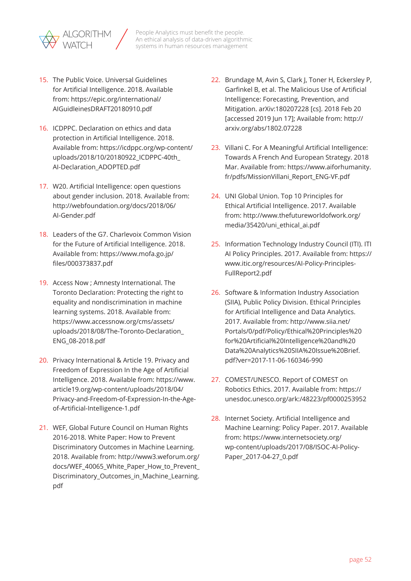

- 15. The Public Voice. Universal Guidelines for Artificial Intelligence. 2018. Available from: [https://epic.org/international/](https://epic.org/international/AIGuidleinesDRAFT20180910.pdf) [AIGuidleinesDRAFT20180910.pdf](https://epic.org/international/AIGuidleinesDRAFT20180910.pdf)
- 16. ICDPPC. Declaration on ethics and data protection in Artificial Intelligence. 2018. Available from: [https://icdppc.org/wp-content/](https://icdppc.org/wp-content/uploads/2018/10/20180922_ICDPPC-40th_AI-Declaration_ADOPTED.pdf) [uploads/2018/10/20180922\\_ICDPPC-40th\\_](https://icdppc.org/wp-content/uploads/2018/10/20180922_ICDPPC-40th_AI-Declaration_ADOPTED.pdf) [AI-Declaration\\_ADOPTED.pdf](https://icdppc.org/wp-content/uploads/2018/10/20180922_ICDPPC-40th_AI-Declaration_ADOPTED.pdf)
- 17. W20. Artificial Intelligence: open questions about gender inclusion. 2018. Available from: [http://webfoundation.org/docs/2018/06/](http://webfoundation.org/docs/2018/06/AI-Gender.pdf) [AI-Gender.pdf](http://webfoundation.org/docs/2018/06/AI-Gender.pdf)
- 18. Leaders of the G7. Charlevoix Common Vision for the Future of Artificial Intelligence. 2018. Available from: [https://www.mofa.go.jp/](https://www.mofa.go.jp/files/000373837.pdf) [files/000373837.pdf](https://www.mofa.go.jp/files/000373837.pdf)
- 19. Access Now ; Amnesty International. The Toronto Declaration: Protecting the right to equality and nondiscrimination in machine learning systems. 2018. Available from: [https://www.accessnow.org/cms/assets/](https://www.accessnow.org/cms/assets/uploads/2018/08/The-Toronto-Declaration_ENG_08-2018.pdf) [uploads/2018/08/The-Toronto-Declaration\\_](https://www.accessnow.org/cms/assets/uploads/2018/08/The-Toronto-Declaration_ENG_08-2018.pdf) [ENG\\_08-2018.pdf](https://www.accessnow.org/cms/assets/uploads/2018/08/The-Toronto-Declaration_ENG_08-2018.pdf)
- 20. Privacy International & Article 19. Privacy and Freedom of Expression In the Age of Artificial Intelligence. 2018. Available from: [https://www.](https://www.article19.org/wp-content/uploads/2018/04/Privacy-and-Freedom-of-Expression-In-the-Age-of-Artificial-Intelligence-1.pdf) [article19.org/wp-content/uploads/2018/04/](https://www.article19.org/wp-content/uploads/2018/04/Privacy-and-Freedom-of-Expression-In-the-Age-of-Artificial-Intelligence-1.pdf) [Privacy-and-Freedom-of-Expression-In-the-Age](https://www.article19.org/wp-content/uploads/2018/04/Privacy-and-Freedom-of-Expression-In-the-Age-of-Artificial-Intelligence-1.pdf)[of-Artificial-Intelligence-1.pdf](https://www.article19.org/wp-content/uploads/2018/04/Privacy-and-Freedom-of-Expression-In-the-Age-of-Artificial-Intelligence-1.pdf)
- 21. WEF, Global Future Council on Human Rights 2016-2018. White Paper: How to Prevent Discriminatory Outcomes in Machine Learning. 2018. Available from: [http://www3.weforum.org/](http://www3.weforum.org/docs/WEF_40065_White_Paper_How_to_Prevent_Discriminatory_Outcomes_in_Machine_Learning.pdf) docs/WEF 40065 White Paper How to Prevent [Discriminatory\\_Outcomes\\_in\\_Machine\\_Learning.](http://www3.weforum.org/docs/WEF_40065_White_Paper_How_to_Prevent_Discriminatory_Outcomes_in_Machine_Learning.pdf) [pdf](http://www3.weforum.org/docs/WEF_40065_White_Paper_How_to_Prevent_Discriminatory_Outcomes_in_Machine_Learning.pdf)
- 22. Brundage M, Avin S, Clark J, Toner H, Eckersley P, Garfinkel B, et al. The Malicious Use of Artificial Intelligence: Forecasting, Prevention, and Mitigation. arXiv:180207228 [cs]. 2018 Feb 20 [accessed 2019 Jun 17]; Available from: [http://](http://arxiv.org/abs/1802.07228) [arxiv.org/abs/1802.07228](http://arxiv.org/abs/1802.07228)
- 23. Villani C. For A Meaningful Artificial Intelligence: Towards A French And European Strategy. 2018 Mar. Available from: [https://www.aiforhumanity.](https://www.aiforhumanity.fr/pdfs/MissionVillani_Report_ENG-VF.pdf) [fr/pdfs/MissionVillani\\_Report\\_ENG-VF.pdf](https://www.aiforhumanity.fr/pdfs/MissionVillani_Report_ENG-VF.pdf)
- 24. UNI Global Union. Top 10 Principles for Ethical Artificial Intelligence. 2017. Available from: [http://www.thefutureworldofwork.org/](http://www.thefutureworldofwork.org/media/35420/uni_ethical_ai.pdf) [media/35420/uni\\_ethical\\_ai.pdf](http://www.thefutureworldofwork.org/media/35420/uni_ethical_ai.pdf)
- 25. Information Technology Industry Council (ITI). ITI AI Policy Principles. 2017. Available from: [https://](https://www.itic.org/resources/AI-Policy-Principles-FullReport2.pdf) [www.itic.org/resources/AI-Policy-Principles-](https://www.itic.org/resources/AI-Policy-Principles-FullReport2.pdf)[FullReport2.pdf](https://www.itic.org/resources/AI-Policy-Principles-FullReport2.pdf)
- 26. Software & Information Industry Association (SIIA), Public Policy Division. Ethical Principles for Artificial Intelligence and Data Analytics. 2017. Available from: [http://www.siia.net/](http://www.siia.net/Portals/0/pdf/Policy/Ethical%20Principles%20for%20Artificial%20Intelligence%20and%20Data%20Analytics%20SIIA%20Issue%20Brief.pdf?ver=2017-11-06-160346-990) [Portals/0/pdf/Policy/Ethical%20Principles%20](http://www.siia.net/Portals/0/pdf/Policy/Ethical%20Principles%20for%20Artificial%20Intelligence%20and%20Data%20Analytics%20SIIA%20Issue%20Brief.pdf?ver=2017-11-06-160346-990) [for%20Artificial%20Intelligence%20and%20](http://www.siia.net/Portals/0/pdf/Policy/Ethical%20Principles%20for%20Artificial%20Intelligence%20and%20Data%20Analytics%20SIIA%20Issue%20Brief.pdf?ver=2017-11-06-160346-990) [Data%20Analytics%20SIIA%20Issue%20Brief.](http://www.siia.net/Portals/0/pdf/Policy/Ethical%20Principles%20for%20Artificial%20Intelligence%20and%20Data%20Analytics%20SIIA%20Issue%20Brief.pdf?ver=2017-11-06-160346-990) [pdf?ver=2017-11-06-160346-990](http://www.siia.net/Portals/0/pdf/Policy/Ethical%20Principles%20for%20Artificial%20Intelligence%20and%20Data%20Analytics%20SIIA%20Issue%20Brief.pdf?ver=2017-11-06-160346-990)
- 27. COMEST/UNESCO. Report of COMEST on Robotics Ethics. 2017. Available from: [https://](https://unesdoc.unesco.org/ark:/48223/pf0000253952) [unesdoc.unesco.org/ark:/48223/pf0000253952](https://unesdoc.unesco.org/ark:/48223/pf0000253952)
- 28. Internet Society. Artificial Intelligence and Machine Learning: Policy Paper. 2017. Available from: [https://www.internetsociety.org/](https://www.internetsociety.org/wp-content/uploads/2017/08/ISOC-AI-Policy-Paper_2017-04-27_0.pdf) [wp-content/uploads/2017/08/ISOC-AI-Policy-](https://www.internetsociety.org/wp-content/uploads/2017/08/ISOC-AI-Policy-Paper_2017-04-27_0.pdf)[Paper\\_2017-04-27\\_0.pdf](https://www.internetsociety.org/wp-content/uploads/2017/08/ISOC-AI-Policy-Paper_2017-04-27_0.pdf)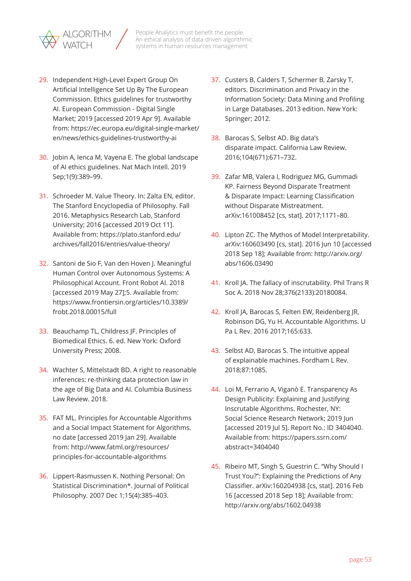

- 29. Independent High-Level Expert Group On Artificial Intelligence Set Up By The European Commission. Ethics guidelines for trustworthy AI. European Commission - Digital Single Market; 2019 [accessed 2019 Apr 9]. Available from: [https://ec.europa.eu/digital-single-market/](https://ec.europa.eu/digital-single-market/en/news/ethics-guidelines-trustworthy-ai) [en/news/ethics-guidelines-trustworthy-ai](https://ec.europa.eu/digital-single-market/en/news/ethics-guidelines-trustworthy-ai)
- 30. Jobin A, Ienca M, Vayena E. The global landscape of AI ethics guidelines. Nat Mach Intell. 2019 Sep;1(9):389–99.
- 31. Schroeder M. Value Theory. In: Zalta EN, editor. The Stanford Encyclopedia of Philosophy. Fall 2016. Metaphysics Research Lab, Stanford University; 2016 [accessed 2019 Oct 11]. Available from: [https://plato.stanford.edu/](https://plato.stanford.edu/archives/fall2016/entries/value-theory/) [archives/fall2016/entries/value-theory/](https://plato.stanford.edu/archives/fall2016/entries/value-theory/)
- 32. Santoni de Sio F, Van den Hoven J. Meaningful Human Control over Autonomous Systems: A Philosophical Account. Front Robot AI. 2018 [accessed 2019 May 27];5. Available from: [https://www.frontiersin.org/articles/10.3389/](https://www.frontiersin.org/articles/10.3389/frobt.2018.00015/full) [frobt.2018.00015/full](https://www.frontiersin.org/articles/10.3389/frobt.2018.00015/full)
- 33. Beauchamp TL, Childress JF. Principles of Biomedical Ethics. 6. ed. New York: Oxford University Press; 2008.
- 34. Wachter S, Mittelstadt BD. A right to reasonable inferences: re-thinking data protection law in the age of Big Data and AI. Columbia Business Law Review. 2018.
- 35. FAT ML. Principles for Accountable Algorithms and a Social Impact Statement for Algorithms. no date [accessed 2019 Jan 29]. Available from: [http://www.fatml.org/resources/](http://www.fatml.org/resources/principles-for-accountable-algorithms) [principles-for-accountable-algorithms](http://www.fatml.org/resources/principles-for-accountable-algorithms)
- 36. Lippert-Rasmussen K. Nothing Personal: On Statistical Discrimination\*. Journal of Political Philosophy. 2007 Dec 1;15(4):385–403.
- 37. Custers B, Calders T, Schermer B, Zarsky T, editors. Discrimination and Privacy in the Information Society: Data Mining and Profiling in Large Databases. 2013 edition. New York: Springer; 2012.
- 38. Barocas S, Selbst AD. Big data's disparate impact. California Law Review. 2016;104(671):671–732.
- 39. Zafar MB, Valera I, Rodriguez MG, Gummadi KP. Fairness Beyond Disparate Treatment & Disparate Impact: Learning Classification without Disparate Mistreatment. arXiv:161008452 [cs, stat]. 2017;1171–80.
- 40. Lipton ZC. The Mythos of Model Interpretability. arXiv:160603490 [cs, stat]. 2016 Jun 10 [accessed 2018 Sep 18]; Available from: [http://arxiv.org/](http://arxiv.org/abs/1606.03490) [abs/1606.03490](http://arxiv.org/abs/1606.03490)
- 41. Kroll JA. The fallacy of inscrutability. Phil Trans R Soc A. 2018 Nov 28;376(2133):20180084.
- 42. Kroll JA, Barocas S, Felten EW, Reidenberg JR, Robinson DG, Yu H. Accountable Algorithms. U Pa L Rev. 2016 2017;165:633.
- 43. Selbst AD, Barocas S. The intuitive appeal of explainable machines. Fordham L Rev. 2018;87:1085.
- 44. Loi M, Ferrario A, Viganò E. Transparency As Design Publicity: Explaining and Justifying Inscrutable Algorithms. Rochester, NY: Social Science Research Network; 2019 Jun [accessed 2019 Jul 5]. Report No.: ID 3404040. Available from: [https://papers.ssrn.com/](https://papers.ssrn.com/abstract=3404040) [abstract=3404040](https://papers.ssrn.com/abstract=3404040)
- 45. Ribeiro MT, Singh S, Guestrin C. "Why Should I Trust You?": Explaining the Predictions of Any Classifier. arXiv:160204938 [cs, stat]. 2016 Feb 16 [accessed 2018 Sep 18]; Available from: <http://arxiv.org/abs/1602.04938>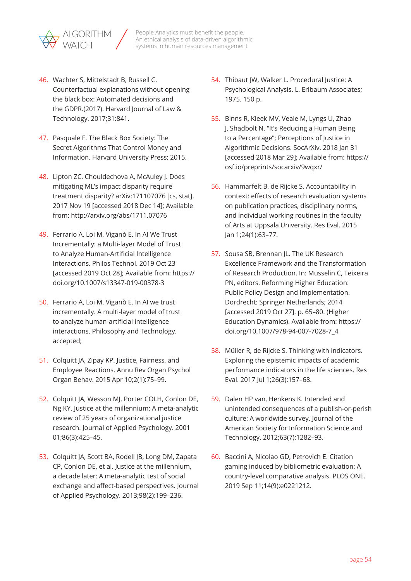

- 46. Wachter S, Mittelstadt B, Russell C. Counterfactual explanations without opening the black box: Automated decisions and the GDPR.(2017). Harvard Journal of Law & Technology. 2017;31:841.
- 47. Pasquale F. The Black Box Society: The Secret Algorithms That Control Money and Information. Harvard University Press; 2015.
- 48. Lipton ZC, Chouldechova A, McAuley J. Does mitigating ML's impact disparity require treatment disparity? arXiv:171107076 [cs, stat]. 2017 Nov 19 [accessed 2018 Dec 14]; Available from: <http://arxiv.org/abs/1711.07076>
- 49. Ferrario A, Loi M, Viganò E. In AI We Trust Incrementally: a Multi-layer Model of Trust to Analyze Human-Artificial Intelligence Interactions. Philos Technol. 2019 Oct 23 [accessed 2019 Oct 28]; Available from: [https://](https://doi.org/10.1007/s13347-019-00378-3) [doi.org/10.1007/s13347-019-00378-3](https://doi.org/10.1007/s13347-019-00378-3)
- 50. Ferrario A, Loi M, Viganò E. In AI we trust incrementally. A multi-layer model of trust to analyze human-artificial intelligence interactions. Philosophy and Technology. accepted;
- 51. Colquitt JA, Zipay KP. Justice, Fairness, and Employee Reactions. Annu Rev Organ Psychol Organ Behav. 2015 Apr 10;2(1):75–99.
- 52. Colquitt JA, Wesson MJ, Porter COLH, Conlon DE, Ng KY. Justice at the millennium: A meta-analytic review of 25 years of organizational justice research. Journal of Applied Psychology. 2001 01;86(3):425–45.
- 53. Colquitt JA, Scott BA, Rodell JB, Long DM, Zapata CP, Conlon DE, et al. Justice at the millennium, a decade later: A meta-analytic test of social exchange and affect-based perspectives. Journal of Applied Psychology. 2013;98(2):199–236.
- 54. Thibaut JW, Walker L. Procedural Justice: A Psychological Analysis. L. Erlbaum Associates; 1975. 150 p.
- 55. Binns R, Kleek MV, Veale M, Lyngs U, Zhao J, Shadbolt N. "It's Reducing a Human Being to a Percentage"; Perceptions of Justice in Algorithmic Decisions. SocArXiv. 2018 Jan 31 [accessed 2018 Mar 29]; Available from: [https://](https://osf.io/preprints/socarxiv/9wqxr/) [osf.io/preprints/socarxiv/9wqxr/](https://osf.io/preprints/socarxiv/9wqxr/)
- 56. Hammarfelt B, de Rijcke S. Accountability in context: effects of research evaluation systems on publication practices, disciplinary norms, and individual working routines in the faculty of Arts at Uppsala University. Res Eval. 2015 Jan 1;24(1):63–77.
- 57. Sousa SB, Brennan JL. The UK Research Excellence Framework and the Transformation of Research Production. In: Musselin C, Teixeira PN, editors. Reforming Higher Education: Public Policy Design and Implementation. Dordrecht: Springer Netherlands; 2014 [accessed 2019 Oct 27]. p. 65–80. (Higher Education Dynamics). Available from: [https://](https://doi.org/10.1007/978-94-007-7028-7_4) [doi.org/10.1007/978-94-007-7028-7\\_4](https://doi.org/10.1007/978-94-007-7028-7_4)
- 58. Müller R, de Rijcke S. Thinking with indicators. Exploring the epistemic impacts of academic performance indicators in the life sciences. Res Eval. 2017 Jul 1;26(3):157–68.
- 59. Dalen HP van, Henkens K. Intended and unintended consequences of a publish-or-perish culture: A worldwide survey. Journal of the American Society for Information Science and Technology. 2012;63(7):1282–93.
- 60. Baccini A, Nicolao GD, Petrovich E. Citation gaming induced by bibliometric evaluation: A country-level comparative analysis. PLOS ONE. 2019 Sep 11;14(9):e0221212.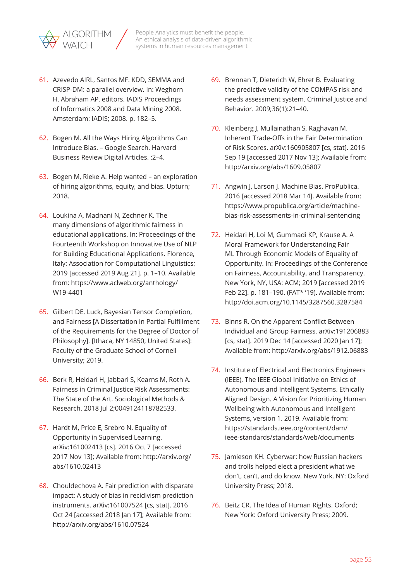

- 61. Azevedo AIRL, Santos MF. KDD, SEMMA and CRISP-DM: a parallel overview. In: Weghorn H, Abraham AP, editors. IADIS Proceedings of Informatics 2008 and Data Mining 2008. Amsterdam: IADIS; 2008. p. 182–5.
- 62. Bogen M. All the Ways Hiring Algorithms Can Introduce Bias. – Google Search. Harvard Business Review Digital Articles. :2–4.
- 63. Bogen M, Rieke A. Help wanted an exploration of hiring algorithms, equity, and bias. Upturn; 2018.
- 64. Loukina A, Madnani N, Zechner K. The many dimensions of algorithmic fairness in educational applications. In: Proceedings of the Fourteenth Workshop on Innovative Use of NLP for Building Educational Applications. Florence, Italy: Association for Computational Linguistics; 2019 [accessed 2019 Aug 21]. p. 1–10. Available from: [https://www.aclweb.org/anthology/](https://www.aclweb.org/anthology/W19-4401) [W19-4401](https://www.aclweb.org/anthology/W19-4401)
- 65. Gilbert DE. Luck, Bayesian Tensor Completion, and Fairness [A Dissertation in Partial Fulfillment of the Requirements for the Degree of Doctor of Philosophy]. [Ithaca, NY 14850, United States]: Faculty of the Graduate School of Cornell University; 2019.
- 66. Berk R, Heidari H, Jabbari S, Kearns M, Roth A. Fairness in Criminal Justice Risk Assessments: The State of the Art. Sociological Methods & Research. 2018 Jul 2;0049124118782533.
- 67. Hardt M, Price E, Srebro N. Equality of Opportunity in Supervised Learning. arXiv:161002413 [cs]. 2016 Oct 7 [accessed 2017 Nov 13]; Available from: [http://arxiv.org/](http://arxiv.org/abs/1610.02413) [abs/1610.02413](http://arxiv.org/abs/1610.02413)
- 68. Chouldechova A. Fair prediction with disparate impact: A study of bias in recidivism prediction instruments. arXiv:161007524 [cs, stat]. 2016 Oct 24 [accessed 2018 Jan 17]; Available from: <http://arxiv.org/abs/1610.07524>
- 69. Brennan T, Dieterich W, Ehret B. Evaluating the predictive validity of the COMPAS risk and needs assessment system. Criminal Justice and Behavior. 2009;36(1):21–40.
- 70. Kleinberg J, Mullainathan S, Raghavan M. Inherent Trade-Offs in the Fair Determination of Risk Scores. arXiv:160905807 [cs, stat]. 2016 Sep 19 [accessed 2017 Nov 13]; Available from: <http://arxiv.org/abs/1609.05807>
- 71. Angwin J, Larson J. Machine Bias. ProPublica. 2016 [accessed 2018 Mar 14]. Available from: [https://www.propublica.org/article/machine](https://www.propublica.org/article/machine-bias-risk-assessments-in-criminal-sentencing)[bias-risk-assessments-in-criminal-sentencing](https://www.propublica.org/article/machine-bias-risk-assessments-in-criminal-sentencing)
- 72. Heidari H, Loi M, Gummadi KP, Krause A. A Moral Framework for Understanding Fair ML Through Economic Models of Equality of Opportunity. In: Proceedings of the Conference on Fairness, Accountability, and Transparency. New York, NY, USA: ACM; 2019 [accessed 2019 Feb 22]. p. 181–190. (FAT\* '19). Available from: <http://doi.acm.org/10.1145/3287560.3287584>
- 73. Binns R. On the Apparent Conflict Between Individual and Group Fairness. arXiv:191206883 [cs, stat]. 2019 Dec 14 [accessed 2020 Jan 17]; Available from:<http://arxiv.org/abs/1912.06883>
- 74. Institute of Electrical and Electronics Engineers (IEEE), The IEEE Global Initiative on Ethics of Autonomous and Intelligent Systems. Ethically Aligned Design. A Vision for Prioritizing Human Wellbeing with Autonomous and Intelligent Systems, version 1. 2019. Available from: [https://standards.ieee.org/content/dam/](https://standards.ieee.org/content/dam/ieee-standards/standards/web/documents) [ieee-standards/standards/web/documents](https://standards.ieee.org/content/dam/ieee-standards/standards/web/documents)
- 75. Jamieson KH. Cyberwar: how Russian hackers and trolls helped elect a president what we don't, can't, and do know. New York, NY: Oxford University Press; 2018.
- 76. Beitz CR. The Idea of Human Rights. Oxford; New York: Oxford University Press; 2009.